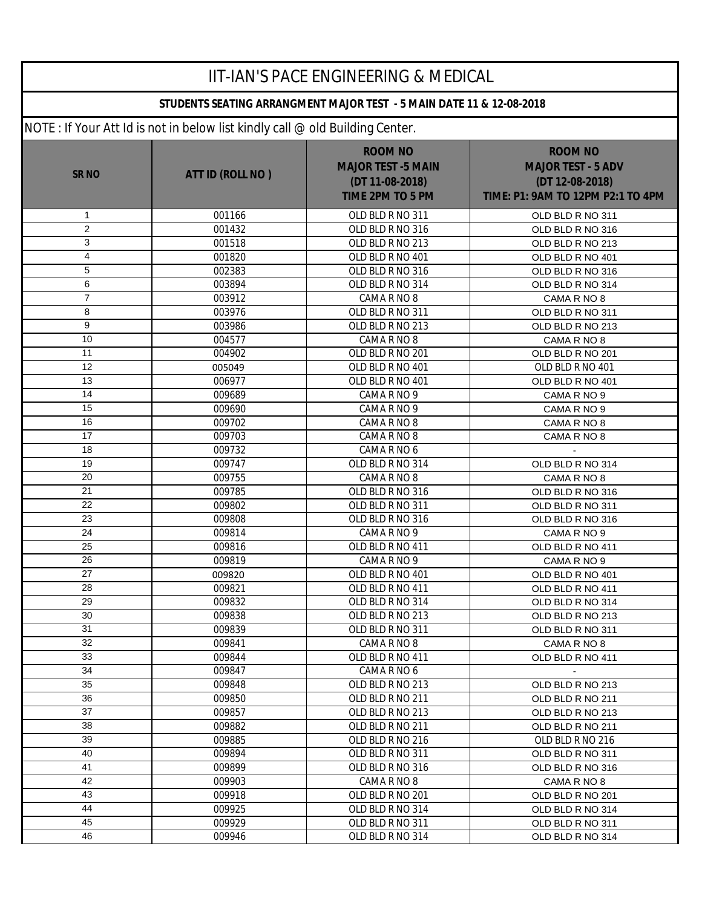| <b>IIT-IAN'S PACE ENGINEERING &amp; MEDICAL</b> |                                                                              |                                                                                           |                                                                                                     |  |  |
|-------------------------------------------------|------------------------------------------------------------------------------|-------------------------------------------------------------------------------------------|-----------------------------------------------------------------------------------------------------|--|--|
|                                                 | STUDENTS SEATING ARRANGMENT MAJOR TEST - 5 MAIN DATE 11 & 12-08-2018         |                                                                                           |                                                                                                     |  |  |
|                                                 | NOTE: If Your Att Id is not in below list kindly call @ old Building Center. |                                                                                           |                                                                                                     |  |  |
| <b>SR NO</b>                                    | ATT ID (ROLL NO)                                                             | <b>ROOM NO</b><br><b>MAJOR TEST -5 MAIN</b><br>(DT 11-08-2018)<br><b>TIME 2PM TO 5 PM</b> | <b>ROOM NO</b><br><b>MAJOR TEST - 5 ADV</b><br>(DT 12-08-2018)<br>TIME: P1: 9AM TO 12PM P2:1 TO 4PM |  |  |
| $\mathbf{1}$                                    | 001166                                                                       | OLD BLD R NO 311                                                                          | OLD BLD R NO 311                                                                                    |  |  |
| $\overline{c}$                                  | 001432                                                                       | OLD BLD R NO 316                                                                          | OLD BLD R NO 316                                                                                    |  |  |
| $\mathbf{3}$                                    | 001518                                                                       | OLD BLD R NO 213                                                                          | OLD BLD R NO 213                                                                                    |  |  |
| $\overline{\mathbf{4}}$                         | 001820                                                                       | OLD BLD R NO 401                                                                          | OLD BLD R NO 401                                                                                    |  |  |
| 5                                               | 002383                                                                       | OLD BLD R NO 316                                                                          | OLD BLD R NO 316                                                                                    |  |  |
| 6                                               | 003894                                                                       | OLD BLD R NO 314                                                                          | OLD BLD R NO 314                                                                                    |  |  |
| $\overline{7}$                                  | 003912                                                                       | CAMA R NO 8                                                                               | CAMA R NO 8                                                                                         |  |  |
| 8                                               | 003976                                                                       | OLD BLD R NO 311                                                                          | OLD BLD R NO 311                                                                                    |  |  |
| 9                                               | 003986                                                                       | OLD BLD R NO 213                                                                          | OLD BLD R NO 213                                                                                    |  |  |
| 10                                              | 004577                                                                       | CAMA R NO 8                                                                               | CAMA R NO 8                                                                                         |  |  |
| 11                                              | 004902                                                                       | OLD BLD R NO 201                                                                          | OLD BLD R NO 201                                                                                    |  |  |
| 12                                              | 005049                                                                       | OLD BLD R NO 401                                                                          | OLD BLD R NO 401                                                                                    |  |  |
| 13                                              | 006977                                                                       | OLD BLD R NO 401                                                                          | OLD BLD R NO 401                                                                                    |  |  |
| 14                                              | 009689                                                                       | CAMA R NO 9                                                                               | CAMA R NO 9                                                                                         |  |  |
| 15                                              | 009690                                                                       | CAMA R NO 9                                                                               | CAMA R NO 9                                                                                         |  |  |
| 16                                              | 009702                                                                       | CAMA R NO 8                                                                               | CAMA R NO 8                                                                                         |  |  |
| 17                                              | 009703                                                                       | CAMA R NO 8                                                                               | CAMA R NO 8                                                                                         |  |  |
| 18                                              | 009732                                                                       | CAMA R NO 6                                                                               |                                                                                                     |  |  |
| 19                                              | 009747                                                                       | OLD BLD R NO 314                                                                          | OLD BLD R NO 314                                                                                    |  |  |
| 20                                              | 009755                                                                       | CAMA R NO 8                                                                               | CAMA R NO 8                                                                                         |  |  |
| 21                                              | 009785                                                                       | OLD BLD R NO 316                                                                          | OLD BLD R NO 316                                                                                    |  |  |
| $\overline{22}$                                 | 009802                                                                       | OLD BLD R NO 311                                                                          | OLD BLD R NO 311                                                                                    |  |  |
| 23                                              | 009808                                                                       | OLD BLD R NO 316                                                                          | OLD BLD R NO 316                                                                                    |  |  |
| $\overline{24}$                                 | 009814                                                                       | CAMA R NO 9                                                                               | CAMA R NO 9                                                                                         |  |  |
| $\overline{25}$                                 | 009816                                                                       | OLD BLD R NO 411                                                                          | OLD BLD R NO 411                                                                                    |  |  |
| 26                                              | 009819                                                                       | CAMA R NO 9                                                                               | CAMA R NO 9                                                                                         |  |  |
| 27                                              | 009820                                                                       | OLD BLD R NO 401                                                                          | OLD BLD R NO 401                                                                                    |  |  |
| 28                                              | 009821                                                                       | OLD BLD R NO 411                                                                          | OLD BLD R NO 411                                                                                    |  |  |
| 29                                              | 009832                                                                       | OLD BLD R NO 314                                                                          | OLD BLD R NO 314                                                                                    |  |  |
| 30                                              | 009838                                                                       | OLD BLD R NO 213                                                                          | OLD BLD R NO 213                                                                                    |  |  |
| 31                                              | 009839                                                                       | OLD BLD R NO 311                                                                          | OLD BLD R NO 311                                                                                    |  |  |
| 32                                              | 009841                                                                       | CAMA R NO 8                                                                               | CAMA R NO 8                                                                                         |  |  |
| 33                                              | 009844                                                                       | OLD BLD R NO 411                                                                          | OLD BLD R NO 411                                                                                    |  |  |
| 34                                              | 009847                                                                       | CAMA R NO 6                                                                               | $\blacksquare$                                                                                      |  |  |
| 35                                              | 009848                                                                       | OLD BLD R NO 213                                                                          | OLD BLD R NO 213                                                                                    |  |  |
| 36                                              | 009850                                                                       | OLD BLD R NO 211                                                                          | OLD BLD R NO 211                                                                                    |  |  |
| 37                                              | 009857                                                                       | OLD BLD R NO 213                                                                          | OLD BLD R NO 213                                                                                    |  |  |
| 38                                              | 009882                                                                       | OLD BLD R NO 211                                                                          | OLD BLD R NO 211                                                                                    |  |  |
| 39                                              | 009885                                                                       | OLD BLD R NO 216                                                                          | OLD BLD R NO 216                                                                                    |  |  |
| 40                                              | 009894                                                                       | OLD BLD R NO 311                                                                          | OLD BLD R NO 311                                                                                    |  |  |
| 41                                              | 009899                                                                       | OLD BLD R NO 316                                                                          | OLD BLD R NO 316                                                                                    |  |  |
| 42                                              | 009903                                                                       | CAMA R NO 8                                                                               | CAMA R NO 8                                                                                         |  |  |
| 43                                              | 009918                                                                       | OLD BLD R NO 201                                                                          | OLD BLD R NO 201                                                                                    |  |  |
| 44                                              | 009925                                                                       | OLD BLD R NO 314                                                                          | OLD BLD R NO 314                                                                                    |  |  |
| 45                                              | 009929                                                                       | OLD BLD R NO 311                                                                          | OLD BLD R NO 311                                                                                    |  |  |
| 46                                              | 009946                                                                       | OLD BLD R NO 314                                                                          | OLD BLD R NO 314                                                                                    |  |  |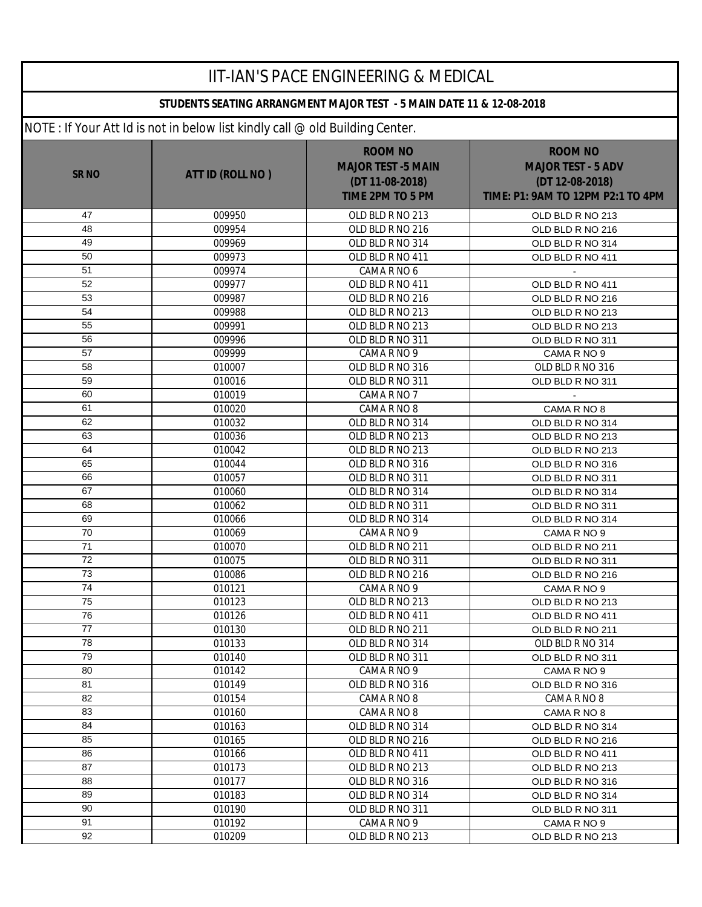| <b>IIT-IAN'S PACE ENGINEERING &amp; MEDICAL</b> |                                                                              |                                                                                           |                                                                                                     |  |  |
|-------------------------------------------------|------------------------------------------------------------------------------|-------------------------------------------------------------------------------------------|-----------------------------------------------------------------------------------------------------|--|--|
|                                                 | STUDENTS SEATING ARRANGMENT MAJOR TEST - 5 MAIN DATE 11 & 12-08-2018         |                                                                                           |                                                                                                     |  |  |
|                                                 | NOTE: If Your Att Id is not in below list kindly call @ old Building Center. |                                                                                           |                                                                                                     |  |  |
| <b>SR NO</b>                                    | ATT ID (ROLL NO)                                                             | <b>ROOM NO</b><br><b>MAJOR TEST -5 MAIN</b><br>(DT 11-08-2018)<br><b>TIME 2PM TO 5 PM</b> | <b>ROOM NO</b><br><b>MAJOR TEST - 5 ADV</b><br>(DT 12-08-2018)<br>TIME: P1: 9AM TO 12PM P2:1 TO 4PM |  |  |
| 47                                              | 009950                                                                       | OLD BLD R NO 213                                                                          | OLD BLD R NO 213                                                                                    |  |  |
| 48                                              | 009954                                                                       | OLD BLD R NO 216                                                                          | OLD BLD R NO 216                                                                                    |  |  |
| 49                                              | 009969                                                                       | OLD BLD R NO 314                                                                          | OLD BLD R NO 314                                                                                    |  |  |
| 50                                              | 009973                                                                       | OLD BLD R NO 411                                                                          | OLD BLD R NO 411                                                                                    |  |  |
| 51                                              | 009974                                                                       | CAMA R NO 6                                                                               |                                                                                                     |  |  |
| 52                                              | 009977                                                                       | OLD BLD R NO 411                                                                          | OLD BLD R NO 411                                                                                    |  |  |
| 53                                              | 009987                                                                       | OLD BLD R NO 216                                                                          | OLD BLD R NO 216                                                                                    |  |  |
| 54                                              | 009988                                                                       | OLD BLD R NO 213                                                                          | OLD BLD R NO 213                                                                                    |  |  |
| 55                                              | 009991                                                                       | OLD BLD R NO 213                                                                          | OLD BLD R NO 213                                                                                    |  |  |
| 56                                              | 009996                                                                       | OLD BLD R NO 311                                                                          | OLD BLD R NO 311                                                                                    |  |  |
| 57                                              | 009999                                                                       | CAMA R NO 9                                                                               | CAMA R NO 9                                                                                         |  |  |
| 58                                              | 010007                                                                       | OLD BLD R NO 316                                                                          | OLD BLD R NO 316                                                                                    |  |  |
| 59                                              | 010016                                                                       | OLD BLD R NO 311                                                                          | OLD BLD R NO 311                                                                                    |  |  |
| 60                                              | 010019                                                                       | CAMA R NO 7                                                                               |                                                                                                     |  |  |
| 61                                              | 010020                                                                       | CAMA R NO 8                                                                               | CAMA R NO 8                                                                                         |  |  |
| 62                                              | 010032                                                                       | OLD BLD R NO 314                                                                          | OLD BLD R NO 314                                                                                    |  |  |
| 63                                              | 010036                                                                       | OLD BLD R NO 213                                                                          | OLD BLD R NO 213                                                                                    |  |  |
| 64<br>65                                        | 010042                                                                       | OLD BLD R NO 213                                                                          | OLD BLD R NO 213                                                                                    |  |  |
| 66                                              | 010044                                                                       | OLD BLD R NO 316                                                                          | OLD BLD R NO 316                                                                                    |  |  |
| 67                                              | 010057                                                                       | OLD BLD R NO 311                                                                          | OLD BLD R NO 311                                                                                    |  |  |
| 68                                              | 010060                                                                       | OLD BLD R NO 314                                                                          | OLD BLD R NO 314                                                                                    |  |  |
| 69                                              | 010062<br>010066                                                             | OLD BLD R NO 311<br>OLD BLD R NO 314                                                      | OLD BLD R NO 311                                                                                    |  |  |
| 70                                              | 010069                                                                       | CAMA R NO 9                                                                               | OLD BLD R NO 314<br>CAMA R NO 9                                                                     |  |  |
| $\overline{71}$                                 | 010070                                                                       | OLD BLD R NO 211                                                                          | OLD BLD R NO 211                                                                                    |  |  |
| 72                                              | 010075                                                                       | OLD BLD R NO 311                                                                          | OLD BLD R NO 311                                                                                    |  |  |
| 73                                              | 010086                                                                       | OLD BLD R NO 216                                                                          | OLD BLD R NO 216                                                                                    |  |  |
| 74                                              | 010121                                                                       | CAMA R NO 9                                                                               | CAMA R NO 9                                                                                         |  |  |
| 75                                              | 010123                                                                       | OLD BLD R NO 213                                                                          | OLD BLD R NO 213                                                                                    |  |  |
| 76                                              | 010126                                                                       | OLD BLD R NO 411                                                                          | OLD BLD R NO 411                                                                                    |  |  |
| 77                                              | 010130                                                                       | OLD BLD R NO 211                                                                          | OLD BLD R NO 211                                                                                    |  |  |
| 78                                              | 010133                                                                       | OLD BLD R NO 314                                                                          | OLD BLD R NO 314                                                                                    |  |  |
| 79                                              | 010140                                                                       | OLD BLD R NO 311                                                                          | OLD BLD R NO 311                                                                                    |  |  |
| 80                                              | 010142                                                                       | CAMA R NO 9                                                                               | CAMA R NO 9                                                                                         |  |  |
| 81                                              | 010149                                                                       | OLD BLD R NO 316                                                                          | OLD BLD R NO 316                                                                                    |  |  |
| 82                                              | 010154                                                                       | CAMA R NO 8                                                                               | CAMA R NO 8                                                                                         |  |  |
| 83                                              | 010160                                                                       | CAMA R NO 8                                                                               | CAMA R NO 8                                                                                         |  |  |
| 84                                              | 010163                                                                       | OLD BLD R NO 314                                                                          | OLD BLD R NO 314                                                                                    |  |  |
| 85                                              | 010165                                                                       | OLD BLD R NO 216                                                                          | OLD BLD R NO 216                                                                                    |  |  |
| 86                                              | 010166                                                                       | OLD BLD R NO 411                                                                          | OLD BLD R NO 411                                                                                    |  |  |
| 87                                              | 010173                                                                       | OLD BLD R NO 213                                                                          | OLD BLD R NO 213                                                                                    |  |  |
| 88                                              | 010177                                                                       | OLD BLD R NO 316                                                                          | OLD BLD R NO 316                                                                                    |  |  |
| 89                                              | 010183                                                                       | OLD BLD R NO 314                                                                          | OLD BLD R NO 314                                                                                    |  |  |
| 90                                              | 010190                                                                       | OLD BLD R NO 311                                                                          | OLD BLD R NO 311                                                                                    |  |  |
| 91                                              | 010192                                                                       | CAMA R NO 9                                                                               | CAMA R NO 9                                                                                         |  |  |
| 92                                              | 010209                                                                       | OLD BLD R NO 213                                                                          | OLD BLD R NO 213                                                                                    |  |  |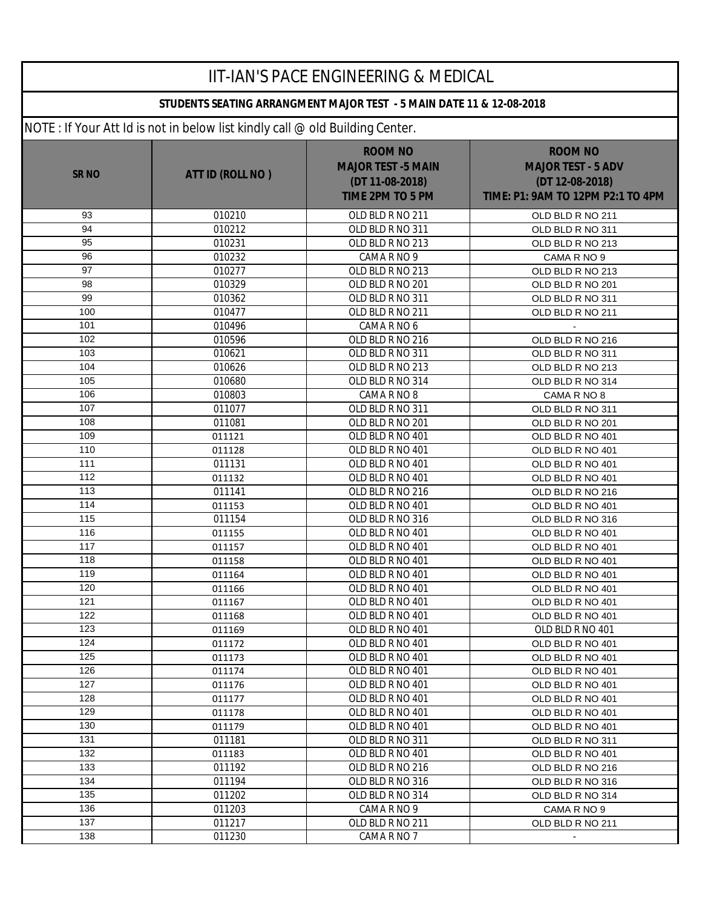|             |                                                                              | <b>IIT-IAN'S PACE ENGINEERING &amp; MEDICAL</b>                                           |                                                                                                     |  |
|-------------|------------------------------------------------------------------------------|-------------------------------------------------------------------------------------------|-----------------------------------------------------------------------------------------------------|--|
|             | STUDENTS SEATING ARRANGMENT MAJOR TEST - 5 MAIN DATE 11 & 12-08-2018         |                                                                                           |                                                                                                     |  |
|             | NOTE: If Your Att Id is not in below list kindly call @ old Building Center. |                                                                                           |                                                                                                     |  |
| <b>SRNO</b> | ATT ID (ROLL NO)                                                             | <b>ROOM NO</b><br><b>MAJOR TEST -5 MAIN</b><br>(DT 11-08-2018)<br><b>TIME 2PM TO 5 PM</b> | <b>ROOM NO</b><br><b>MAJOR TEST - 5 ADV</b><br>(DT 12-08-2018)<br>TIME: P1: 9AM TO 12PM P2:1 TO 4PM |  |
| 93          | 010210                                                                       | OLD BLD R NO 211                                                                          | OLD BLD R NO 211                                                                                    |  |
| 94          | 010212                                                                       | OLD BLD R NO 311                                                                          | OLD BLD R NO 311                                                                                    |  |
| 95          | 010231                                                                       | OLD BLD R NO 213                                                                          | OLD BLD R NO 213                                                                                    |  |
| 96          | 010232                                                                       | CAMA R NO 9                                                                               | CAMA R NO 9                                                                                         |  |
| 97          | 010277                                                                       | OLD BLD R NO 213                                                                          | OLD BLD R NO 213                                                                                    |  |
| 98          | 010329                                                                       | OLD BLD R NO 201                                                                          | OLD BLD R NO 201                                                                                    |  |
| 99          | 010362                                                                       | OLD BLD R NO 311                                                                          | OLD BLD R NO 311                                                                                    |  |
| 100         | 010477                                                                       | OLD BLD R NO 211                                                                          | OLD BLD R NO 211                                                                                    |  |
| 101         | 010496                                                                       | CAMA R NO 6                                                                               |                                                                                                     |  |
| 102         | 010596                                                                       | OLD BLD R NO 216                                                                          | OLD BLD R NO 216                                                                                    |  |
| 103         | 010621                                                                       | OLD BLD R NO 311                                                                          | OLD BLD R NO 311                                                                                    |  |
| 104         | 010626                                                                       | OLD BLD R NO 213                                                                          | OLD BLD R NO 213                                                                                    |  |
| 105         | 010680                                                                       | OLD BLD R NO 314                                                                          | OLD BLD R NO 314                                                                                    |  |
| 106         | 010803                                                                       | CAMA R NO 8                                                                               | CAMA R NO 8                                                                                         |  |
| 107         | 011077                                                                       | OLD BLD R NO 311                                                                          | OLD BLD R NO 311                                                                                    |  |
| 108         | 011081                                                                       | OLD BLD R NO 201                                                                          | OLD BLD R NO 201                                                                                    |  |
| 109         | 011121                                                                       | OLD BLD R NO 401                                                                          | OLD BLD R NO 401                                                                                    |  |
| 110         | 011128                                                                       | OLD BLD R NO 401                                                                          | OLD BLD R NO 401                                                                                    |  |
| 111         | 011131                                                                       | OLD BLD R NO 401                                                                          | OLD BLD R NO 401                                                                                    |  |
| 112         | 011132                                                                       | OLD BLD R NO 401                                                                          | OLD BLD R NO 401                                                                                    |  |
| 113         | 011141                                                                       | OLD BLD R NO 216                                                                          | OLD BLD R NO 216                                                                                    |  |
| 114         | 011153                                                                       | OLD BLD R NO 401                                                                          | OLD BLD R NO 401                                                                                    |  |
| 115         | 011154                                                                       | OLD BLD R NO 316                                                                          | OLD BLD R NO 316                                                                                    |  |
| 116         | 011155                                                                       | OLD BLD R NO 401                                                                          | OLD BLD R NO 401                                                                                    |  |
| 117         | 011157                                                                       | OLD BLD R NO 401                                                                          | OLD BLD R NO 401                                                                                    |  |
| 118         | 011158                                                                       | OLD BLD R NO 401                                                                          | OLD BLD R NO 401                                                                                    |  |
| 119         | 011164                                                                       | OLD BLD R NO 401                                                                          | OLD BLD R NO 401                                                                                    |  |
| 120         | 011166                                                                       | OLD BLD R NO 401                                                                          | OLD BLD R NO 401                                                                                    |  |
| 121         | 011167                                                                       | OLD BLD R NO 401                                                                          | OLD BLD R NO 401                                                                                    |  |
| 122         | 011168                                                                       | OLD BLD R NO 401                                                                          | OLD BLD R NO 401                                                                                    |  |
| 123         | 011169                                                                       | OLD BLD R NO 401                                                                          | OLD BLD R NO 401                                                                                    |  |
| 124         | 011172                                                                       | OLD BLD R NO 401                                                                          | OLD BLD R NO 401                                                                                    |  |
| 125         | 011173                                                                       | OLD BLD R NO 401                                                                          | OLD BLD R NO 401                                                                                    |  |
| 126         | 011174                                                                       | OLD BLD R NO 401                                                                          | OLD BLD R NO 401                                                                                    |  |
| 127         | 011176                                                                       | OLD BLD R NO 401                                                                          | OLD BLD R NO 401                                                                                    |  |
| 128         | 011177                                                                       | OLD BLD R NO 401                                                                          | OLD BLD R NO 401                                                                                    |  |
| 129         | 011178                                                                       | OLD BLD R NO 401                                                                          | OLD BLD R NO 401                                                                                    |  |
| 130         | 011179                                                                       | OLD BLD R NO 401                                                                          | OLD BLD R NO 401                                                                                    |  |
| 131         | 011181                                                                       | OLD BLD R NO 311                                                                          | OLD BLD R NO 311                                                                                    |  |
| 132         | 011183                                                                       | OLD BLD R NO 401                                                                          | OLD BLD R NO 401                                                                                    |  |
| 133         | 011192                                                                       | OLD BLD R NO 216                                                                          | OLD BLD R NO 216                                                                                    |  |
| 134         | 011194                                                                       | OLD BLD R NO 316                                                                          | OLD BLD R NO 316                                                                                    |  |
| 135         | 011202                                                                       | OLD BLD R NO 314                                                                          | OLD BLD R NO 314                                                                                    |  |
| 136         | 011203                                                                       | CAMA R NO 9                                                                               | CAMA R NO 9                                                                                         |  |
| 137         | 011217                                                                       | OLD BLD R NO 211                                                                          | OLD BLD R NO 211                                                                                    |  |
| 138         | 011230                                                                       | CAMA R NO 7                                                                               |                                                                                                     |  |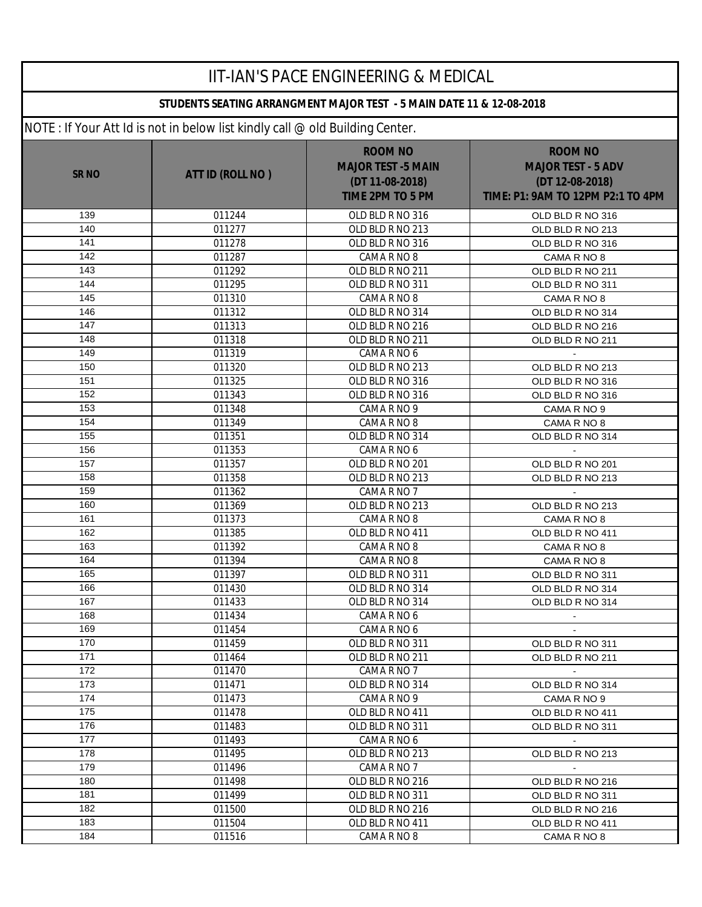| <b>IIT-IAN'S PACE ENGINEERING &amp; MEDICAL</b> |                                                                              |                                                                                           |                                                                                                     |  |  |
|-------------------------------------------------|------------------------------------------------------------------------------|-------------------------------------------------------------------------------------------|-----------------------------------------------------------------------------------------------------|--|--|
|                                                 | STUDENTS SEATING ARRANGMENT MAJOR TEST - 5 MAIN DATE 11 & 12-08-2018         |                                                                                           |                                                                                                     |  |  |
|                                                 | NOTE: If Your Att Id is not in below list kindly call @ old Building Center. |                                                                                           |                                                                                                     |  |  |
| <b>SR NO</b>                                    | ATT ID (ROLL NO)                                                             | <b>ROOM NO</b><br><b>MAJOR TEST -5 MAIN</b><br>(DT 11-08-2018)<br><b>TIME 2PM TO 5 PM</b> | <b>ROOM NO</b><br><b>MAJOR TEST - 5 ADV</b><br>(DT 12-08-2018)<br>TIME: P1: 9AM TO 12PM P2:1 TO 4PM |  |  |
| 139                                             | 011244                                                                       | OLD BLD R NO 316                                                                          | OLD BLD R NO 316                                                                                    |  |  |
| 140                                             | 011277                                                                       | OLD BLD R NO 213                                                                          | OLD BLD R NO 213                                                                                    |  |  |
| 141                                             | 011278                                                                       | OLD BLD R NO 316                                                                          | OLD BLD R NO 316                                                                                    |  |  |
| 142                                             | 011287                                                                       | CAMA R NO 8                                                                               | CAMA R NO 8                                                                                         |  |  |
| 143                                             | 011292                                                                       | OLD BLD R NO 211                                                                          | OLD BLD R NO 211                                                                                    |  |  |
| 144                                             | 011295                                                                       | OLD BLD R NO 311                                                                          | OLD BLD R NO 311                                                                                    |  |  |
| 145                                             | 011310                                                                       | CAMA R NO 8                                                                               | CAMA R NO 8                                                                                         |  |  |
| 146                                             | 011312                                                                       | OLD BLD R NO 314                                                                          | OLD BLD R NO 314                                                                                    |  |  |
| 147                                             | 011313                                                                       | OLD BLD R NO 216                                                                          | OLD BLD R NO 216                                                                                    |  |  |
| 148                                             | 011318                                                                       | OLD BLD R NO 211                                                                          | OLD BLD R NO 211                                                                                    |  |  |
| 149                                             | 011319                                                                       | CAMA R NO 6                                                                               |                                                                                                     |  |  |
| 150                                             | 011320                                                                       | OLD BLD R NO 213                                                                          | OLD BLD R NO 213                                                                                    |  |  |
| 151                                             | 011325                                                                       | OLD BLD R NO 316                                                                          | OLD BLD R NO 316                                                                                    |  |  |
| 152                                             | 011343                                                                       | OLD BLD R NO 316                                                                          | OLD BLD R NO 316                                                                                    |  |  |
| 153                                             | 011348                                                                       | CAMA R NO 9                                                                               | CAMA R NO 9                                                                                         |  |  |
| 154                                             | 011349                                                                       | CAMA R NO 8                                                                               | CAMA R NO 8                                                                                         |  |  |
| 155                                             | 011351                                                                       | OLD BLD R NO 314                                                                          | OLD BLD R NO 314                                                                                    |  |  |
| 156<br>157                                      | 011353                                                                       | CAMA R NO 6                                                                               |                                                                                                     |  |  |
| 158                                             | 011357                                                                       | OLD BLD R NO 201                                                                          | OLD BLD R NO 201                                                                                    |  |  |
| 159                                             | 011358                                                                       | OLD BLD R NO 213                                                                          | OLD BLD R NO 213                                                                                    |  |  |
| 160                                             | 011362                                                                       | CAMA R NO 7                                                                               |                                                                                                     |  |  |
| 161                                             | 011369<br>011373                                                             | OLD BLD R NO 213                                                                          | OLD BLD R NO 213                                                                                    |  |  |
| 162                                             | 011385                                                                       | CAMA R NO 8<br>OLD BLD R NO 411                                                           | CAMA R NO 8<br>OLD BLD R NO 411                                                                     |  |  |
| 163                                             | 011392                                                                       | CAMA R NO 8                                                                               | CAMA R NO 8                                                                                         |  |  |
| 164                                             | 011394                                                                       | CAMA R NO 8                                                                               | CAMA R NO 8                                                                                         |  |  |
| 165                                             | 011397                                                                       | OLD BLD R NO 311                                                                          | OLD BLD R NO 311                                                                                    |  |  |
| 166                                             | 011430                                                                       | OLD BLD R NO 314                                                                          | OLD BLD R NO 314                                                                                    |  |  |
| 167                                             | 011433                                                                       | OLD BLD R NO 314                                                                          | OLD BLD R NO 314                                                                                    |  |  |
| 168                                             | 011434                                                                       | CAMA R NO 6                                                                               | $\sim$                                                                                              |  |  |
| 169                                             | 011454                                                                       | CAMA R NO 6                                                                               | $\blacksquare$                                                                                      |  |  |
| 170                                             | 011459                                                                       | OLD BLD R NO 311                                                                          | OLD BLD R NO 311                                                                                    |  |  |
| 171                                             | 011464                                                                       | OLD BLD R NO 211                                                                          | OLD BLD R NO 211                                                                                    |  |  |
| 172                                             | 011470                                                                       | CAMA R NO 7                                                                               | $\sim$                                                                                              |  |  |
| 173                                             | 011471                                                                       | OLD BLD R NO 314                                                                          | OLD BLD R NO 314                                                                                    |  |  |
| 174                                             | 011473                                                                       | CAMA R NO 9                                                                               | CAMA R NO 9                                                                                         |  |  |
| 175                                             | 011478                                                                       | OLD BLD R NO 411                                                                          | OLD BLD R NO 411                                                                                    |  |  |
| 176                                             | 011483                                                                       | OLD BLD R NO 311                                                                          | OLD BLD R NO 311                                                                                    |  |  |
| 177                                             | 011493                                                                       | CAMA R NO 6                                                                               | $\sim$                                                                                              |  |  |
| 178                                             | 011495                                                                       | OLD BLD R NO 213                                                                          | OLD BLD R NO 213                                                                                    |  |  |
| 179                                             | 011496                                                                       | CAMA R NO 7                                                                               | $\sim$                                                                                              |  |  |
| 180                                             | 011498                                                                       | OLD BLD R NO 216                                                                          | OLD BLD R NO 216                                                                                    |  |  |
| 181                                             | 011499                                                                       | OLD BLD R NO 311                                                                          | OLD BLD R NO 311                                                                                    |  |  |
| 182                                             | 011500                                                                       | OLD BLD R NO 216                                                                          | OLD BLD R NO 216                                                                                    |  |  |
| 183                                             | 011504                                                                       | OLD BLD R NO 411                                                                          | OLD BLD R NO 411                                                                                    |  |  |
| 184                                             | 011516                                                                       | CAMA R NO 8                                                                               | CAMA R NO 8                                                                                         |  |  |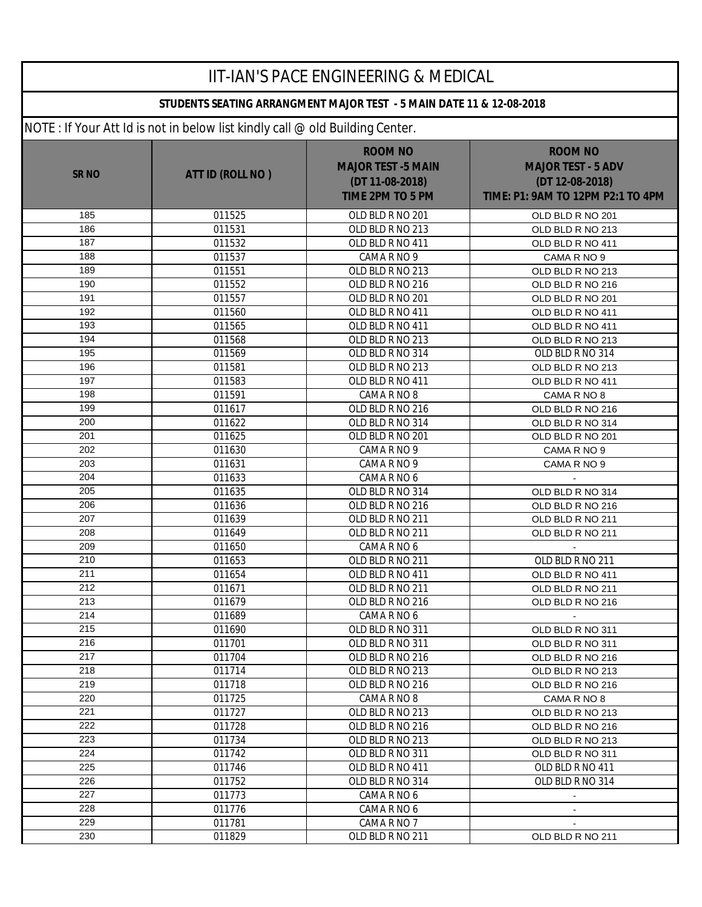| <b>IIT-IAN'S PACE ENGINEERING &amp; MEDICAL</b> |                                                                              |                                                                                           |                                                                                                     |  |  |
|-------------------------------------------------|------------------------------------------------------------------------------|-------------------------------------------------------------------------------------------|-----------------------------------------------------------------------------------------------------|--|--|
|                                                 | STUDENTS SEATING ARRANGMENT MAJOR TEST - 5 MAIN DATE 11 & 12-08-2018         |                                                                                           |                                                                                                     |  |  |
|                                                 | NOTE: If Your Att Id is not in below list kindly call @ old Building Center. |                                                                                           |                                                                                                     |  |  |
| <b>SR NO</b>                                    | ATT ID (ROLL NO)                                                             | <b>ROOM NO</b><br><b>MAJOR TEST -5 MAIN</b><br>(DT 11-08-2018)<br><b>TIME 2PM TO 5 PM</b> | <b>ROOM NO</b><br><b>MAJOR TEST - 5 ADV</b><br>(DT 12-08-2018)<br>TIME: P1: 9AM TO 12PM P2:1 TO 4PM |  |  |
| 185                                             | 011525                                                                       | OLD BLD R NO 201                                                                          | OLD BLD R NO 201                                                                                    |  |  |
| 186                                             | 011531                                                                       | OLD BLD R NO 213                                                                          | OLD BLD R NO 213                                                                                    |  |  |
| 187                                             | 011532                                                                       | OLD BLD R NO 411                                                                          | OLD BLD R NO 411                                                                                    |  |  |
| 188                                             | 011537                                                                       | CAMA R NO 9                                                                               | CAMA R NO 9                                                                                         |  |  |
| 189                                             | 011551                                                                       | OLD BLD R NO 213                                                                          | OLD BLD R NO 213                                                                                    |  |  |
| 190                                             | 011552                                                                       | OLD BLD R NO 216                                                                          | OLD BLD R NO 216                                                                                    |  |  |
| 191                                             | 011557                                                                       | OLD BLD R NO 201                                                                          | OLD BLD R NO 201                                                                                    |  |  |
| 192                                             | 011560                                                                       | OLD BLD R NO 411                                                                          | OLD BLD R NO 411                                                                                    |  |  |
| 193                                             | 011565                                                                       | OLD BLD R NO 411                                                                          | OLD BLD R NO 411                                                                                    |  |  |
| 194                                             | 011568                                                                       | OLD BLD R NO 213                                                                          | OLD BLD R NO 213                                                                                    |  |  |
| 195                                             | 011569                                                                       | OLD BLD R NO 314                                                                          | OLD BLD R NO 314                                                                                    |  |  |
| 196                                             | 011581                                                                       | OLD BLD R NO 213                                                                          | OLD BLD R NO 213                                                                                    |  |  |
| 197                                             | 011583                                                                       | OLD BLD R NO 411                                                                          | OLD BLD R NO 411                                                                                    |  |  |
| 198                                             | 011591                                                                       | CAMA R NO 8                                                                               | CAMA R NO 8                                                                                         |  |  |
| 199                                             | 011617                                                                       | OLD BLD R NO 216                                                                          | OLD BLD R NO 216                                                                                    |  |  |
| 200<br>201                                      | 011622                                                                       | OLD BLD R NO 314                                                                          | OLD BLD R NO 314                                                                                    |  |  |
| 202                                             | 011625<br>011630                                                             | OLD BLD R NO 201                                                                          | OLD BLD R NO 201                                                                                    |  |  |
| 203                                             | 011631                                                                       | CAMA R NO 9<br>CAMA R NO 9                                                                | CAMA R NO 9<br>CAMA R NO 9                                                                          |  |  |
| 204                                             | 011633                                                                       | CAMA R NO 6                                                                               |                                                                                                     |  |  |
| 205                                             | 011635                                                                       | OLD BLD R NO 314                                                                          | OLD BLD R NO 314                                                                                    |  |  |
| 206                                             | 011636                                                                       | OLD BLD R NO 216                                                                          | OLD BLD R NO 216                                                                                    |  |  |
| 207                                             | 011639                                                                       | OLD BLD R NO 211                                                                          | OLD BLD R NO 211                                                                                    |  |  |
| 208                                             | 011649                                                                       | OLD BLD R NO 211                                                                          | OLD BLD R NO 211                                                                                    |  |  |
| 209                                             | 011650                                                                       | CAMA R NO 6                                                                               |                                                                                                     |  |  |
| 210                                             | 011653                                                                       | OLD BLD R NO 211                                                                          | OLD BLD R NO 211                                                                                    |  |  |
| 211                                             | 011654                                                                       | OLD BLD R NO 411                                                                          | OLD BLD R NO 411                                                                                    |  |  |
| 212                                             | 011671                                                                       | OLD BLD R NO 211                                                                          | OLD BLD R NO 211                                                                                    |  |  |
| 213                                             | 011679                                                                       | OLD BLD R NO 216                                                                          | OLD BLD R NO 216                                                                                    |  |  |
| 214                                             | 011689                                                                       | CAMA R NO 6                                                                               | $\blacksquare$                                                                                      |  |  |
| 215                                             | 011690                                                                       | OLD BLD R NO 311                                                                          | OLD BLD R NO 311                                                                                    |  |  |
| 216                                             | 011701                                                                       | OLD BLD R NO 311                                                                          | OLD BLD R NO 311                                                                                    |  |  |
| 217                                             | 011704                                                                       | OLD BLD R NO 216                                                                          | OLD BLD R NO 216                                                                                    |  |  |
| 218                                             | 011714                                                                       | OLD BLD R NO 213                                                                          | OLD BLD R NO 213                                                                                    |  |  |
| 219                                             | 011718                                                                       | OLD BLD R NO 216                                                                          | OLD BLD R NO 216                                                                                    |  |  |
| 220                                             | 011725                                                                       | CAMA R NO 8                                                                               | CAMA R NO 8                                                                                         |  |  |
| 221                                             | 011727                                                                       | OLD BLD R NO 213                                                                          | OLD BLD R NO 213                                                                                    |  |  |
| 222                                             | 011728                                                                       | OLD BLD R NO 216                                                                          | OLD BLD R NO 216                                                                                    |  |  |
| 223                                             | 011734                                                                       | OLD BLD R NO 213                                                                          | OLD BLD R NO 213                                                                                    |  |  |
| 224                                             | 011742                                                                       | OLD BLD R NO 311                                                                          | OLD BLD R NO 311                                                                                    |  |  |
| 225                                             | 011746                                                                       | OLD BLD R NO 411                                                                          | OLD BLD R NO 411                                                                                    |  |  |
| 226                                             | 011752                                                                       | OLD BLD R NO 314                                                                          | OLD BLD R NO 314                                                                                    |  |  |
| 227                                             | 011773                                                                       | CAMA R NO 6                                                                               | $\sim$                                                                                              |  |  |
| 228<br>229                                      | 011776                                                                       | CAMA R NO 6                                                                               | $\blacksquare$                                                                                      |  |  |
| 230                                             | 011781<br>011829                                                             | CAMA R NO 7<br>OLD BLD R NO 211                                                           |                                                                                                     |  |  |
|                                                 |                                                                              |                                                                                           | OLD BLD R NO 211                                                                                    |  |  |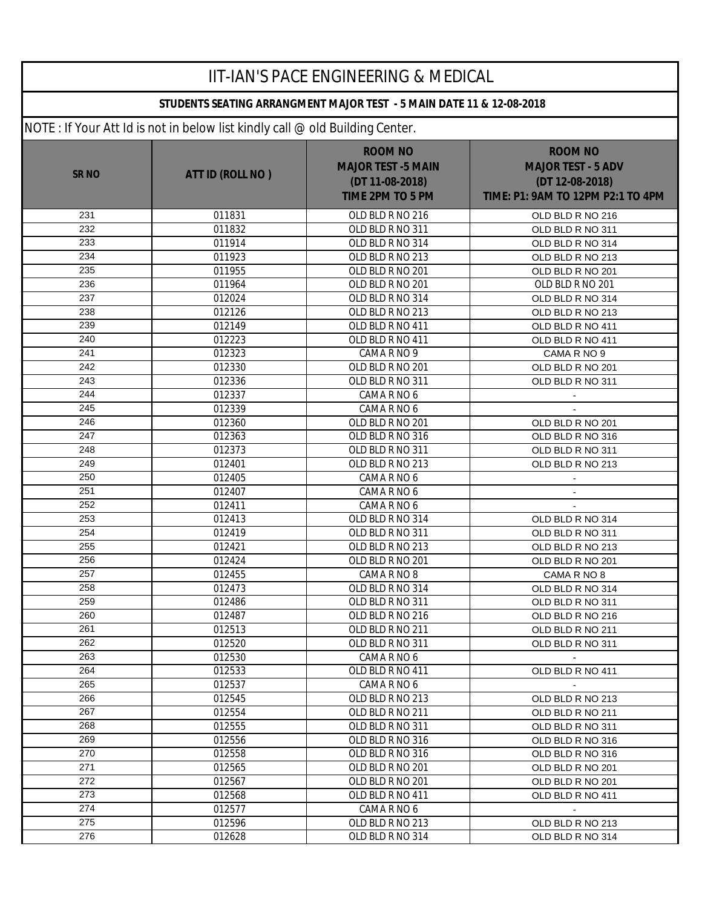| <b>IIT-IAN'S PACE ENGINEERING &amp; MEDICAL</b> |                                                                              |                                                                                           |                                                                                                     |  |  |
|-------------------------------------------------|------------------------------------------------------------------------------|-------------------------------------------------------------------------------------------|-----------------------------------------------------------------------------------------------------|--|--|
|                                                 | STUDENTS SEATING ARRANGMENT MAJOR TEST - 5 MAIN DATE 11 & 12-08-2018         |                                                                                           |                                                                                                     |  |  |
|                                                 | NOTE: If Your Att Id is not in below list kindly call @ old Building Center. |                                                                                           |                                                                                                     |  |  |
| SR <sub>NO</sub>                                | ATT ID (ROLL NO)                                                             | <b>ROOM NO</b><br><b>MAJOR TEST -5 MAIN</b><br>(DT 11-08-2018)<br><b>TIME 2PM TO 5 PM</b> | <b>ROOM NO</b><br><b>MAJOR TEST - 5 ADV</b><br>(DT 12-08-2018)<br>TIME: P1: 9AM TO 12PM P2:1 TO 4PM |  |  |
| 231                                             | 011831                                                                       | OLD BLD R NO 216                                                                          | OLD BLD R NO 216                                                                                    |  |  |
| 232                                             | 011832                                                                       | OLD BLD R NO 311                                                                          | OLD BLD R NO 311                                                                                    |  |  |
| 233                                             | 011914                                                                       | OLD BLD R NO 314                                                                          | OLD BLD R NO 314                                                                                    |  |  |
| 234                                             | 011923                                                                       | OLD BLD R NO 213                                                                          | OLD BLD R NO 213                                                                                    |  |  |
| 235                                             | 011955                                                                       | OLD BLD R NO 201                                                                          | OLD BLD R NO 201                                                                                    |  |  |
| 236                                             | 011964                                                                       | OLD BLD R NO 201                                                                          | OLD BLD R NO 201                                                                                    |  |  |
| 237                                             | 012024                                                                       | OLD BLD R NO 314                                                                          | OLD BLD R NO 314                                                                                    |  |  |
| 238                                             | 012126                                                                       | OLD BLD R NO 213                                                                          | OLD BLD R NO 213                                                                                    |  |  |
| 239                                             | 012149                                                                       | OLD BLD R NO 411                                                                          | OLD BLD R NO 411                                                                                    |  |  |
| 240                                             | 012223                                                                       | OLD BLD R NO 411                                                                          | OLD BLD R NO 411                                                                                    |  |  |
| 241                                             | 012323                                                                       | CAMA R NO 9                                                                               | CAMA R NO 9                                                                                         |  |  |
| 242                                             | 012330                                                                       | OLD BLD R NO 201                                                                          | OLD BLD R NO 201                                                                                    |  |  |
| 243                                             | 012336                                                                       | OLD BLD R NO 311                                                                          | OLD BLD R NO 311                                                                                    |  |  |
| 244                                             | 012337                                                                       | CAMA R NO 6                                                                               |                                                                                                     |  |  |
| 245                                             | 012339                                                                       | CAMA R NO 6                                                                               |                                                                                                     |  |  |
| 246                                             | 012360                                                                       | OLD BLD R NO 201                                                                          | OLD BLD R NO 201                                                                                    |  |  |
| 247                                             | 012363                                                                       | OLD BLD R NO 316                                                                          | OLD BLD R NO 316                                                                                    |  |  |
| 248                                             | 012373                                                                       | OLD BLD R NO 311                                                                          | OLD BLD R NO 311                                                                                    |  |  |
| 249                                             | 012401                                                                       | OLD BLD R NO 213                                                                          | OLD BLD R NO 213                                                                                    |  |  |
| 250                                             | 012405                                                                       | CAMA R NO 6                                                                               |                                                                                                     |  |  |
| 251                                             | 012407                                                                       | CAMA R NO 6                                                                               | $\blacksquare$                                                                                      |  |  |
| 252                                             | 012411                                                                       | CAMA R NO 6                                                                               |                                                                                                     |  |  |
| 253                                             | 012413                                                                       | OLD BLD R NO 314                                                                          | OLD BLD R NO 314                                                                                    |  |  |
| 254                                             | 012419                                                                       | OLD BLD R NO 311                                                                          | OLD BLD R NO 311                                                                                    |  |  |
| 255                                             | 012421                                                                       | OLD BLD R NO 213                                                                          | OLD BLD R NO 213                                                                                    |  |  |
| 256                                             | 012424                                                                       | OLD BLD R NO 201                                                                          | OLD BLD R NO 201                                                                                    |  |  |
| 257                                             | 012455                                                                       | CAMA R NO 8                                                                               | CAMA R NO 8                                                                                         |  |  |
| 258                                             | 012473                                                                       | OLD BLD R NO 314                                                                          | OLD BLD R NO 314                                                                                    |  |  |
| 259                                             | 012486                                                                       | OLD BLD R NO 311                                                                          | OLD BLD R NO 311                                                                                    |  |  |
| 260                                             | 012487                                                                       | OLD BLD R NO 216                                                                          | OLD BLD R NO 216                                                                                    |  |  |
| 261                                             | 012513                                                                       | OLD BLD R NO 211                                                                          | OLD BLD R NO 211                                                                                    |  |  |
| 262                                             | 012520                                                                       | OLD BLD R NO 311                                                                          | OLD BLD R NO 311                                                                                    |  |  |
| 263                                             | 012530                                                                       | CAMA R NO 6                                                                               |                                                                                                     |  |  |
| 264                                             | 012533                                                                       | OLD BLD R NO 411                                                                          | OLD BLD R NO 411                                                                                    |  |  |
| 265                                             | 012537                                                                       | CAMA R NO 6                                                                               | $\sim$                                                                                              |  |  |
| 266                                             | 012545                                                                       | OLD BLD R NO 213                                                                          | OLD BLD R NO 213                                                                                    |  |  |
| 267                                             | 012554                                                                       | OLD BLD R NO 211                                                                          | OLD BLD R NO 211                                                                                    |  |  |
| 268                                             | 012555                                                                       | OLD BLD R NO 311                                                                          | OLD BLD R NO 311                                                                                    |  |  |
| 269                                             | 012556                                                                       | OLD BLD R NO 316                                                                          | OLD BLD R NO 316                                                                                    |  |  |
| 270                                             | 012558                                                                       | OLD BLD R NO 316                                                                          | OLD BLD R NO 316                                                                                    |  |  |
| 271                                             | 012565                                                                       | OLD BLD R NO 201                                                                          | OLD BLD R NO 201                                                                                    |  |  |
| 272                                             | 012567                                                                       | OLD BLD R NO 201                                                                          | OLD BLD R NO 201                                                                                    |  |  |
| 273                                             | 012568                                                                       | OLD BLD R NO 411                                                                          | OLD BLD R NO 411                                                                                    |  |  |
| 274                                             | 012577                                                                       | CAMA R NO 6                                                                               |                                                                                                     |  |  |
| 275                                             | 012596                                                                       | OLD BLD R NO 213                                                                          | OLD BLD R NO 213                                                                                    |  |  |
| 276                                             | 012628                                                                       | OLD BLD R NO 314                                                                          | OLD BLD R NO 314                                                                                    |  |  |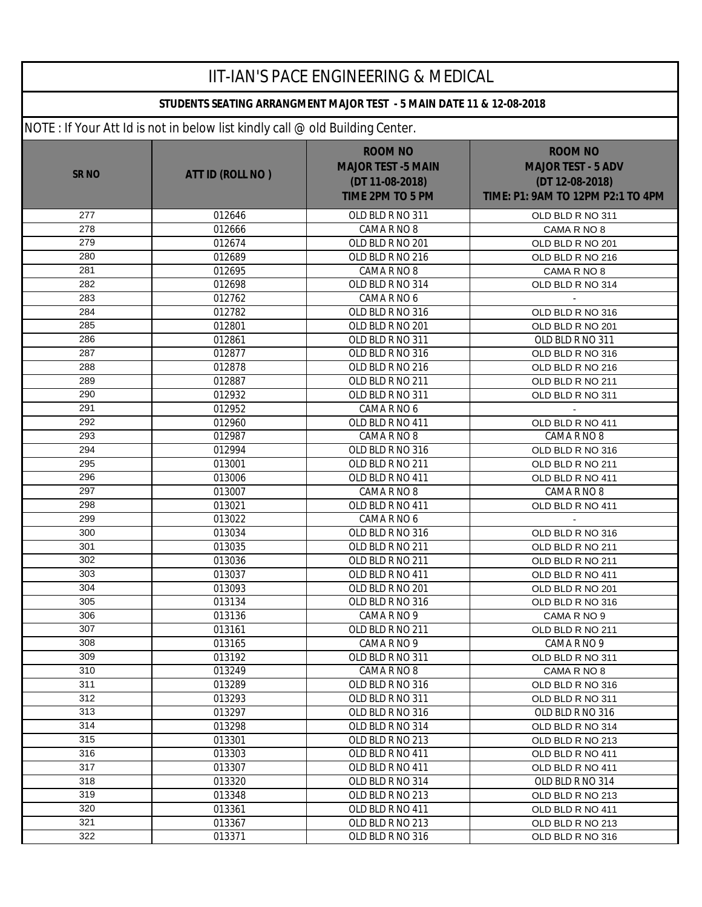| <b>IIT-IAN'S PACE ENGINEERING &amp; MEDICAL</b> |                                                                              |                                                                                           |                                                                                                     |  |  |
|-------------------------------------------------|------------------------------------------------------------------------------|-------------------------------------------------------------------------------------------|-----------------------------------------------------------------------------------------------------|--|--|
|                                                 | STUDENTS SEATING ARRANGMENT MAJOR TEST - 5 MAIN DATE 11 & 12-08-2018         |                                                                                           |                                                                                                     |  |  |
|                                                 | NOTE: If Your Att Id is not in below list kindly call @ old Building Center. |                                                                                           |                                                                                                     |  |  |
| <b>SRNO</b>                                     | ATT ID (ROLL NO)                                                             | <b>ROOM NO</b><br><b>MAJOR TEST -5 MAIN</b><br>(DT 11-08-2018)<br><b>TIME 2PM TO 5 PM</b> | <b>ROOM NO</b><br><b>MAJOR TEST - 5 ADV</b><br>(DT 12-08-2018)<br>TIME: P1: 9AM TO 12PM P2:1 TO 4PM |  |  |
| 277                                             | 012646                                                                       | OLD BLD R NO 311                                                                          | OLD BLD R NO 311                                                                                    |  |  |
| 278                                             | 012666                                                                       | CAMA R NO 8                                                                               | CAMA R NO 8                                                                                         |  |  |
| 279                                             | 012674                                                                       | OLD BLD R NO 201                                                                          | OLD BLD R NO 201                                                                                    |  |  |
| 280                                             | 012689                                                                       | OLD BLD R NO 216                                                                          | OLD BLD R NO 216                                                                                    |  |  |
| 281                                             | 012695                                                                       | CAMA R NO 8                                                                               | CAMA R NO 8                                                                                         |  |  |
| 282                                             | 012698                                                                       | OLD BLD R NO 314                                                                          | OLD BLD R NO 314                                                                                    |  |  |
| 283                                             | 012762                                                                       | CAMA R NO 6                                                                               |                                                                                                     |  |  |
| 284                                             | 012782                                                                       | OLD BLD R NO 316                                                                          | OLD BLD R NO 316                                                                                    |  |  |
| 285                                             | 012801                                                                       | OLD BLD R NO 201                                                                          | OLD BLD R NO 201                                                                                    |  |  |
| 286                                             | 012861                                                                       | OLD BLD R NO 311                                                                          | OLD BLD R NO 311                                                                                    |  |  |
| 287                                             | 012877                                                                       | OLD BLD R NO 316                                                                          | OLD BLD R NO 316                                                                                    |  |  |
| 288                                             | 012878                                                                       | OLD BLD R NO 216                                                                          | OLD BLD R NO 216                                                                                    |  |  |
| 289                                             | 012887                                                                       | OLD BLD R NO 211                                                                          | OLD BLD R NO 211                                                                                    |  |  |
| 290                                             | 012932                                                                       | OLD BLD R NO 311                                                                          | OLD BLD R NO 311                                                                                    |  |  |
| 291                                             | 012952                                                                       | CAMA R NO 6                                                                               |                                                                                                     |  |  |
| 292                                             | 012960                                                                       | OLD BLD R NO 411                                                                          | OLD BLD R NO 411                                                                                    |  |  |
| 293                                             | 012987                                                                       | CAMA R NO 8                                                                               | CAMA R NO 8                                                                                         |  |  |
| 294<br>295                                      | 012994                                                                       | OLD BLD R NO 316                                                                          | OLD BLD R NO 316                                                                                    |  |  |
| 296                                             | 013001<br>013006                                                             | OLD BLD R NO 211<br>OLD BLD R NO 411                                                      | OLD BLD R NO 211<br>OLD BLD R NO 411                                                                |  |  |
| 297                                             | 013007                                                                       | CAMA R NO 8                                                                               | CAMA R NO 8                                                                                         |  |  |
| 298                                             | 013021                                                                       | OLD BLD R NO 411                                                                          | OLD BLD R NO 411                                                                                    |  |  |
| 299                                             | 013022                                                                       | CAMA R NO 6                                                                               |                                                                                                     |  |  |
| 300                                             | 013034                                                                       | OLD BLD R NO 316                                                                          | OLD BLD R NO 316                                                                                    |  |  |
| 301                                             | 013035                                                                       | OLD BLD R NO 211                                                                          | OLD BLD R NO 211                                                                                    |  |  |
| 302                                             | 013036                                                                       | OLD BLD R NO 211                                                                          | OLD BLD R NO 211                                                                                    |  |  |
| 303                                             | 013037                                                                       | OLD BLD R NO 411                                                                          | OLD BLD R NO 411                                                                                    |  |  |
| 304                                             | 013093                                                                       | OLD BLD R NO 201                                                                          | OLD BLD R NO 201                                                                                    |  |  |
| 305                                             | 013134                                                                       | OLD BLD R NO 316                                                                          | OLD BLD R NO 316                                                                                    |  |  |
| 306                                             | 013136                                                                       | CAMA R NO 9                                                                               | CAMA R NO 9                                                                                         |  |  |
| 307                                             | 013161                                                                       | OLD BLD R NO 211                                                                          | OLD BLD R NO 211                                                                                    |  |  |
| 308                                             | 013165                                                                       | CAMA R NO 9                                                                               | CAMA R NO 9                                                                                         |  |  |
| 309                                             | 013192                                                                       | OLD BLD R NO 311                                                                          | OLD BLD R NO 311                                                                                    |  |  |
| 310                                             | 013249                                                                       | CAMA R NO 8                                                                               | CAMA R NO 8                                                                                         |  |  |
| 311                                             | 013289                                                                       | OLD BLD R NO 316                                                                          | OLD BLD R NO 316                                                                                    |  |  |
| 312                                             | 013293                                                                       | OLD BLD R NO 311                                                                          | OLD BLD R NO 311                                                                                    |  |  |
| 313                                             | 013297                                                                       | OLD BLD R NO 316                                                                          | OLD BLD R NO 316                                                                                    |  |  |
| 314                                             | 013298                                                                       | OLD BLD R NO 314                                                                          | OLD BLD R NO 314                                                                                    |  |  |
| 315                                             | 013301                                                                       | OLD BLD R NO 213                                                                          | OLD BLD R NO 213                                                                                    |  |  |
| 316                                             | 013303                                                                       | OLD BLD R NO 411                                                                          | OLD BLD R NO 411                                                                                    |  |  |
| 317                                             | 013307                                                                       | OLD BLD R NO 411                                                                          | OLD BLD R NO 411                                                                                    |  |  |
| 318                                             | 013320                                                                       | OLD BLD R NO 314                                                                          | OLD BLD R NO 314                                                                                    |  |  |
| 319                                             | 013348                                                                       | OLD BLD R NO 213                                                                          | OLD BLD R NO 213                                                                                    |  |  |
| 320                                             | 013361                                                                       | OLD BLD R NO 411                                                                          | OLD BLD R NO 411                                                                                    |  |  |
| 321                                             | 013367                                                                       | OLD BLD R NO 213                                                                          | OLD BLD R NO 213                                                                                    |  |  |
| 322                                             | 013371                                                                       | OLD BLD R NO 316                                                                          | OLD BLD R NO 316                                                                                    |  |  |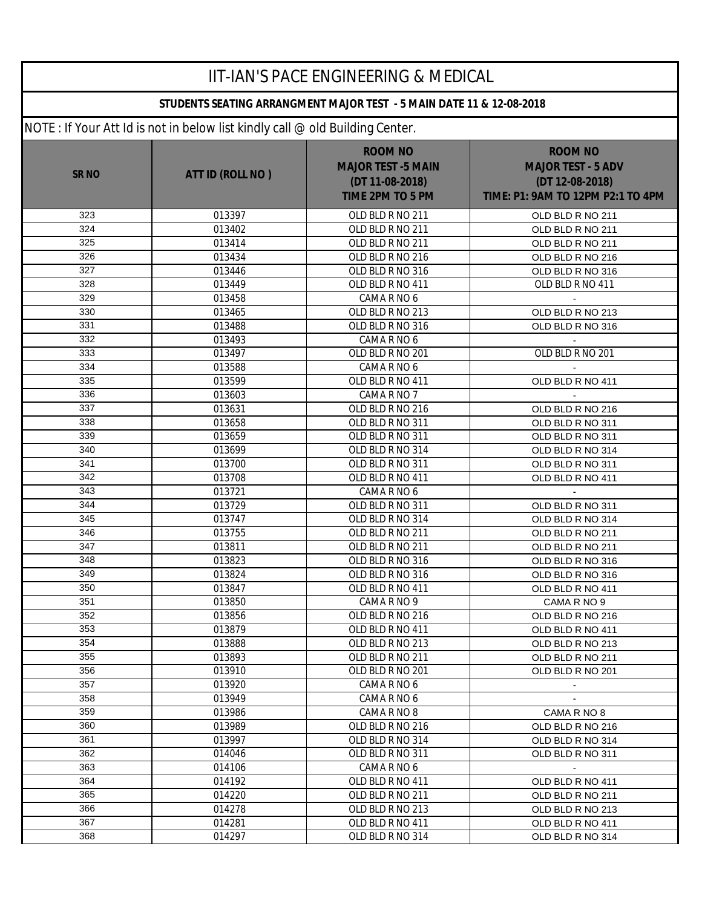| <b>IIT-IAN'S PACE ENGINEERING &amp; MEDICAL</b>                      |                                                                              |                                                                                           |                                                                                                     |  |
|----------------------------------------------------------------------|------------------------------------------------------------------------------|-------------------------------------------------------------------------------------------|-----------------------------------------------------------------------------------------------------|--|
| STUDENTS SEATING ARRANGMENT MAJOR TEST - 5 MAIN DATE 11 & 12-08-2018 |                                                                              |                                                                                           |                                                                                                     |  |
|                                                                      | NOTE: If Your Att Id is not in below list kindly call @ old Building Center. |                                                                                           |                                                                                                     |  |
| <b>SRNO</b>                                                          | ATT ID (ROLL NO)                                                             | <b>ROOM NO</b><br><b>MAJOR TEST -5 MAIN</b><br>(DT 11-08-2018)<br><b>TIME 2PM TO 5 PM</b> | <b>ROOM NO</b><br><b>MAJOR TEST - 5 ADV</b><br>(DT 12-08-2018)<br>TIME: P1: 9AM TO 12PM P2:1 TO 4PM |  |
| 323                                                                  | 013397                                                                       | OLD BLD R NO 211                                                                          | OLD BLD R NO 211                                                                                    |  |
| 324                                                                  | 013402                                                                       | OLD BLD R NO 211                                                                          | OLD BLD R NO 211                                                                                    |  |
| 325                                                                  | 013414                                                                       | OLD BLD R NO 211                                                                          | OLD BLD R NO 211                                                                                    |  |
| 326                                                                  | 013434                                                                       | OLD BLD R NO 216                                                                          | OLD BLD R NO 216                                                                                    |  |
| 327                                                                  | 013446                                                                       | OLD BLD R NO 316                                                                          | OLD BLD R NO 316                                                                                    |  |
| 328                                                                  | 013449                                                                       | OLD BLD R NO 411                                                                          | OLD BLD R NO 411                                                                                    |  |
| 329                                                                  | 013458                                                                       | CAMA R NO 6                                                                               |                                                                                                     |  |
| 330                                                                  | 013465                                                                       | OLD BLD R NO 213                                                                          | OLD BLD R NO 213                                                                                    |  |
| 331                                                                  | 013488                                                                       | OLD BLD R NO 316                                                                          | OLD BLD R NO 316                                                                                    |  |
| 332                                                                  | 013493                                                                       | CAMA R NO 6                                                                               |                                                                                                     |  |
| 333                                                                  | 013497                                                                       | OLD BLD R NO 201                                                                          | OLD BLD R NO 201                                                                                    |  |
| 334                                                                  | 013588                                                                       | CAMA R NO 6                                                                               |                                                                                                     |  |
| 335                                                                  | 013599                                                                       | OLD BLD R NO 411                                                                          | OLD BLD R NO 411                                                                                    |  |
| 336                                                                  | 013603                                                                       | CAMA R NO 7                                                                               |                                                                                                     |  |
| 337                                                                  | 013631                                                                       | OLD BLD R NO 216                                                                          | OLD BLD R NO 216                                                                                    |  |
| 338                                                                  | 013658                                                                       | OLD BLD R NO 311                                                                          | OLD BLD R NO 311                                                                                    |  |
| 339                                                                  | 013659                                                                       | OLD BLD R NO 311                                                                          | OLD BLD R NO 311                                                                                    |  |
| 340                                                                  | 013699                                                                       | OLD BLD R NO 314                                                                          | OLD BLD R NO 314                                                                                    |  |
| 341                                                                  | 013700                                                                       | OLD BLD R NO 311                                                                          | OLD BLD R NO 311                                                                                    |  |
| 342                                                                  | 013708                                                                       | OLD BLD R NO 411                                                                          | OLD BLD R NO 411                                                                                    |  |
| 343                                                                  | 013721                                                                       | CAMA R NO 6                                                                               |                                                                                                     |  |
| 344                                                                  | 013729                                                                       | OLD BLD R NO 311                                                                          | OLD BLD R NO 311                                                                                    |  |
| 345<br>346                                                           | 013747                                                                       | OLD BLD R NO 314                                                                          | OLD BLD R NO 314                                                                                    |  |
| 347                                                                  | 013755                                                                       | OLD BLD R NO 211                                                                          | OLD BLD R NO 211                                                                                    |  |
| 348                                                                  | 013811                                                                       | OLD BLD R NO 211<br>OLD BLD R NO 316                                                      | OLD BLD R NO 211                                                                                    |  |
| 349                                                                  | 013823                                                                       |                                                                                           | OLD BLD R NO 316                                                                                    |  |
| 350                                                                  | 013824<br>013847                                                             | OLD BLD R NO 316<br>OLD BLD R NO 411                                                      | OLD BLD R NO 316<br>OLD BLD R NO 411                                                                |  |
| 351                                                                  | 013850                                                                       | CAMA R NO 9                                                                               | CAMA R NO 9                                                                                         |  |
| 352                                                                  | 013856                                                                       | OLD BLD R NO 216                                                                          | OLD BLD R NO 216                                                                                    |  |
| 353                                                                  | 013879                                                                       | OLD BLD R NO 411                                                                          | OLD BLD R NO 411                                                                                    |  |
| 354                                                                  | 013888                                                                       | OLD BLD R NO 213                                                                          | OLD BLD R NO 213                                                                                    |  |
| 355                                                                  | 013893                                                                       | OLD BLD R NO 211                                                                          | OLD BLD R NO 211                                                                                    |  |
| 356                                                                  | 013910                                                                       | OLD BLD R NO 201                                                                          | OLD BLD R NO 201                                                                                    |  |
| 357                                                                  | 013920                                                                       | CAMA R NO 6                                                                               |                                                                                                     |  |
| 358                                                                  | 013949                                                                       | CAMA R NO 6                                                                               | $\mathbf{r}$                                                                                        |  |
| 359                                                                  | 013986                                                                       | CAMA R NO 8                                                                               | CAMA R NO 8                                                                                         |  |
| 360                                                                  | 013989                                                                       | OLD BLD R NO 216                                                                          | OLD BLD R NO 216                                                                                    |  |
| 361                                                                  | 013997                                                                       | OLD BLD R NO 314                                                                          | OLD BLD R NO 314                                                                                    |  |
| 362                                                                  | 014046                                                                       | OLD BLD R NO 311                                                                          | OLD BLD R NO 311                                                                                    |  |
| 363                                                                  | 014106                                                                       | CAMA R NO 6                                                                               | $\sim$                                                                                              |  |
| 364                                                                  | 014192                                                                       | OLD BLD R NO 411                                                                          | OLD BLD R NO 411                                                                                    |  |
| 365                                                                  | 014220                                                                       | OLD BLD R NO 211                                                                          | OLD BLD R NO 211                                                                                    |  |
| 366                                                                  | 014278                                                                       | OLD BLD R NO 213                                                                          | OLD BLD R NO 213                                                                                    |  |
| 367                                                                  | 014281                                                                       | OLD BLD R NO 411                                                                          | OLD BLD R NO 411                                                                                    |  |
| 368                                                                  | 014297                                                                       | OLD BLD R NO 314                                                                          | OLD BLD R NO 314                                                                                    |  |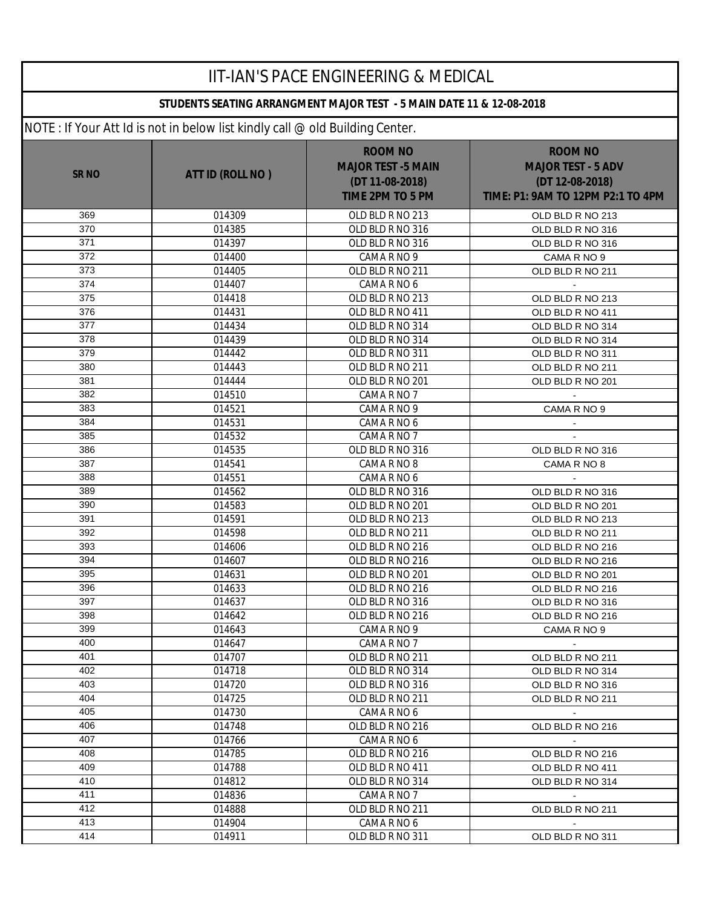| <b>IIT-IAN'S PACE ENGINEERING &amp; MEDICAL</b> |                                                                              |                                                                                           |                                                                                                     |  |  |
|-------------------------------------------------|------------------------------------------------------------------------------|-------------------------------------------------------------------------------------------|-----------------------------------------------------------------------------------------------------|--|--|
|                                                 | STUDENTS SEATING ARRANGMENT MAJOR TEST - 5 MAIN DATE 11 & 12-08-2018         |                                                                                           |                                                                                                     |  |  |
|                                                 | NOTE: If Your Att Id is not in below list kindly call @ old Building Center. |                                                                                           |                                                                                                     |  |  |
| <b>SR NO</b>                                    | ATT ID (ROLL NO)                                                             | <b>ROOM NO</b><br><b>MAJOR TEST -5 MAIN</b><br>(DT 11-08-2018)<br><b>TIME 2PM TO 5 PM</b> | <b>ROOM NO</b><br><b>MAJOR TEST - 5 ADV</b><br>(DT 12-08-2018)<br>TIME: P1: 9AM TO 12PM P2:1 TO 4PM |  |  |
| 369                                             | 014309                                                                       | OLD BLD R NO 213                                                                          | OLD BLD R NO 213                                                                                    |  |  |
| 370                                             | 014385                                                                       | OLD BLD R NO 316                                                                          | OLD BLD R NO 316                                                                                    |  |  |
| 371                                             | 014397                                                                       | OLD BLD R NO 316                                                                          | OLD BLD R NO 316                                                                                    |  |  |
| 372                                             | 014400                                                                       | CAMA R NO 9                                                                               | CAMA R NO 9                                                                                         |  |  |
| 373                                             | 014405                                                                       | OLD BLD R NO 211                                                                          | OLD BLD R NO 211                                                                                    |  |  |
| 374                                             | 014407                                                                       | CAMA R NO 6                                                                               |                                                                                                     |  |  |
| 375                                             | 014418                                                                       | OLD BLD R NO 213                                                                          | OLD BLD R NO 213                                                                                    |  |  |
| 376                                             | 014431                                                                       | OLD BLD R NO 411                                                                          | OLD BLD R NO 411                                                                                    |  |  |
| 377                                             | 014434                                                                       | OLD BLD R NO 314                                                                          | OLD BLD R NO 314                                                                                    |  |  |
| 378                                             | 014439                                                                       | OLD BLD R NO 314                                                                          | OLD BLD R NO 314                                                                                    |  |  |
| 379                                             | 014442                                                                       | OLD BLD R NO 311                                                                          | OLD BLD R NO 311                                                                                    |  |  |
| 380                                             | 014443                                                                       | OLD BLD R NO 211                                                                          | OLD BLD R NO 211                                                                                    |  |  |
| 381                                             | 014444                                                                       | OLD BLD R NO 201                                                                          | OLD BLD R NO 201                                                                                    |  |  |
| 382                                             | 014510                                                                       | CAMA R NO 7                                                                               |                                                                                                     |  |  |
| 383                                             | 014521                                                                       | CAMA R NO 9                                                                               | CAMA R NO 9                                                                                         |  |  |
| 384                                             | 014531                                                                       | CAMA R NO 6                                                                               |                                                                                                     |  |  |
| 385                                             | 014532                                                                       | CAMA R NO 7                                                                               |                                                                                                     |  |  |
| 386                                             | 014535                                                                       | OLD BLD R NO 316                                                                          | OLD BLD R NO 316                                                                                    |  |  |
| 387                                             | 014541                                                                       | CAMA R NO 8                                                                               | CAMA R NO 8                                                                                         |  |  |
| 388                                             | 014551                                                                       | CAMA R NO 6                                                                               |                                                                                                     |  |  |
| 389                                             | 014562                                                                       | OLD BLD R NO 316                                                                          | OLD BLD R NO 316                                                                                    |  |  |
| 390                                             | 014583                                                                       | OLD BLD R NO 201                                                                          | OLD BLD R NO 201                                                                                    |  |  |
| 391                                             | 014591                                                                       | OLD BLD R NO 213                                                                          | OLD BLD R NO 213                                                                                    |  |  |
| 392                                             | 014598                                                                       | OLD BLD R NO 211                                                                          | OLD BLD R NO 211                                                                                    |  |  |
| 393                                             | 014606                                                                       | OLD BLD R NO 216                                                                          | OLD BLD R NO 216                                                                                    |  |  |
| 394                                             | 014607                                                                       | OLD BLD R NO 216                                                                          | OLD BLD R NO 216                                                                                    |  |  |
| 395                                             | 014631                                                                       | OLD BLD R NO 201                                                                          | OLD BLD R NO 201                                                                                    |  |  |
| 396                                             | 014633                                                                       | OLD BLD R NO 216                                                                          | OLD BLD R NO 216                                                                                    |  |  |
| 397                                             | 014637                                                                       | OLD BLD R NO 316                                                                          | OLD BLD R NO 316                                                                                    |  |  |
| 398                                             | 014642                                                                       | OLD BLD R NO 216                                                                          | OLD BLD R NO 216                                                                                    |  |  |
| 399                                             | 014643                                                                       | CAMA R NO 9                                                                               | CAMA R NO 9                                                                                         |  |  |
| 400                                             | 014647                                                                       | CAMA R NO 7                                                                               | $\sim$                                                                                              |  |  |
| 401                                             | 014707                                                                       | OLD BLD R NO 211                                                                          | OLD BLD R NO 211                                                                                    |  |  |
| 402                                             | 014718                                                                       | OLD BLD R NO 314                                                                          | OLD BLD R NO 314                                                                                    |  |  |
| 403                                             | 014720                                                                       | OLD BLD R NO 316                                                                          | OLD BLD R NO 316                                                                                    |  |  |
| 404                                             | 014725                                                                       | OLD BLD R NO 211                                                                          | OLD BLD R NO 211                                                                                    |  |  |
| 405                                             | 014730                                                                       | CAMA R NO 6                                                                               | $\sim$                                                                                              |  |  |
| 406                                             | 014748                                                                       | OLD BLD R NO 216                                                                          | OLD BLD R NO 216                                                                                    |  |  |
| 407                                             | 014766                                                                       | CAMA R NO 6                                                                               |                                                                                                     |  |  |
| 408                                             | 014785                                                                       | OLD BLD R NO 216                                                                          | OLD BLD R NO 216                                                                                    |  |  |
| 409                                             | 014788                                                                       | OLD BLD R NO 411                                                                          | OLD BLD R NO 411                                                                                    |  |  |
| 410                                             | 014812                                                                       | OLD BLD R NO 314                                                                          | OLD BLD R NO 314                                                                                    |  |  |
| 411                                             | 014836                                                                       | CAMA R NO 7                                                                               | $\sim$                                                                                              |  |  |
| 412                                             | 014888                                                                       | OLD BLD R NO 211                                                                          | OLD BLD R NO 211                                                                                    |  |  |
| 413                                             | 014904                                                                       | CAMA R NO 6                                                                               |                                                                                                     |  |  |
| 414                                             | 014911                                                                       | OLD BLD R NO 311                                                                          | OLD BLD R NO 311                                                                                    |  |  |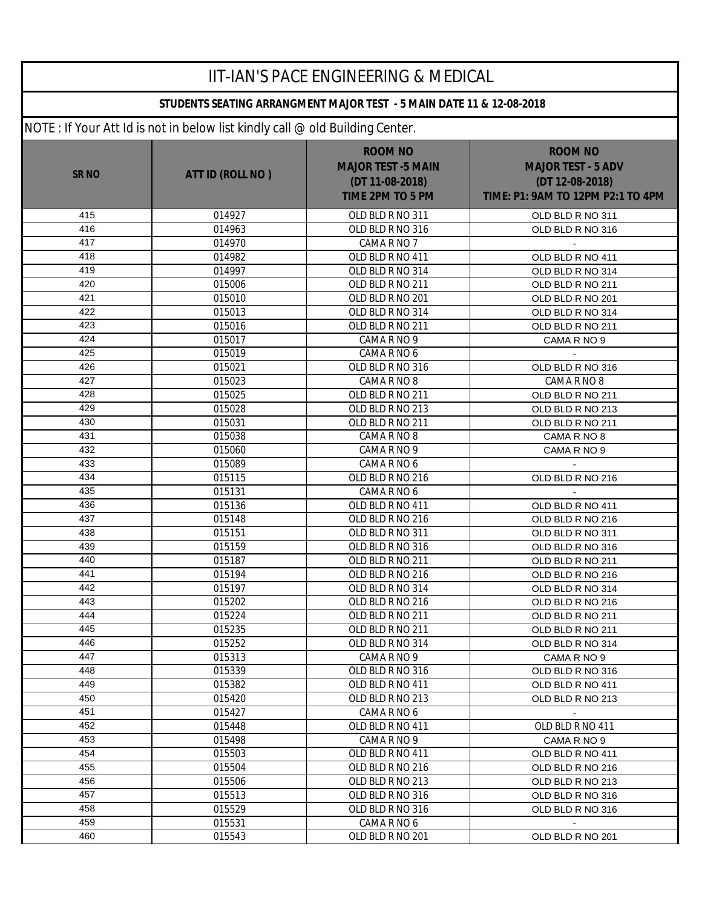| <b>IIT-IAN'S PACE ENGINEERING &amp; MEDICAL</b> |                                                                              |                                                                                           |                                                                                                     |  |
|-------------------------------------------------|------------------------------------------------------------------------------|-------------------------------------------------------------------------------------------|-----------------------------------------------------------------------------------------------------|--|
|                                                 | STUDENTS SEATING ARRANGMENT MAJOR TEST - 5 MAIN DATE 11 & 12-08-2018         |                                                                                           |                                                                                                     |  |
|                                                 | NOTE: If Your Att Id is not in below list kindly call @ old Building Center. |                                                                                           |                                                                                                     |  |
| <b>SR NO</b>                                    | ATT ID (ROLL NO)                                                             | <b>ROOM NO</b><br><b>MAJOR TEST -5 MAIN</b><br>(DT 11-08-2018)<br><b>TIME 2PM TO 5 PM</b> | <b>ROOM NO</b><br><b>MAJOR TEST - 5 ADV</b><br>(DT 12-08-2018)<br>TIME: P1: 9AM TO 12PM P2:1 TO 4PM |  |
| 415                                             | 014927                                                                       | OLD BLD R NO 311                                                                          | OLD BLD R NO 311                                                                                    |  |
| 416                                             | 014963                                                                       | OLD BLD R NO 316                                                                          | OLD BLD R NO 316                                                                                    |  |
| 417                                             | 014970                                                                       | CAMA R NO 7                                                                               |                                                                                                     |  |
| 418                                             | 014982                                                                       | OLD BLD R NO 411                                                                          | OLD BLD R NO 411                                                                                    |  |
| 419                                             | 014997                                                                       | OLD BLD R NO 314                                                                          | OLD BLD R NO 314                                                                                    |  |
| 420                                             | 015006                                                                       | OLD BLD R NO 211                                                                          | OLD BLD R NO 211                                                                                    |  |
| 421                                             | 015010                                                                       | OLD BLD R NO 201                                                                          | OLD BLD R NO 201                                                                                    |  |
| 422                                             | 015013                                                                       | OLD BLD R NO 314                                                                          | OLD BLD R NO 314                                                                                    |  |
| 423                                             | 015016                                                                       | OLD BLD R NO 211                                                                          | OLD BLD R NO 211                                                                                    |  |
| 424                                             | 015017                                                                       | CAMA R NO 9                                                                               | CAMA R NO 9                                                                                         |  |
| 425                                             | 015019                                                                       | CAMA R NO 6                                                                               |                                                                                                     |  |
| 426                                             | 015021                                                                       | OLD BLD R NO 316                                                                          | OLD BLD R NO 316                                                                                    |  |
| 427                                             | 015023                                                                       | CAMA R NO 8                                                                               | CAMA R NO 8                                                                                         |  |
| 428                                             | 015025                                                                       | OLD BLD R NO 211                                                                          | OLD BLD R NO 211                                                                                    |  |
| 429                                             | 015028                                                                       | OLD BLD R NO 213                                                                          | OLD BLD R NO 213                                                                                    |  |
| 430                                             | 015031                                                                       | OLD BLD R NO 211                                                                          | OLD BLD R NO 211                                                                                    |  |
| 431<br>432                                      | 015038                                                                       | CAMA R NO 8                                                                               | CAMA R NO 8                                                                                         |  |
| 433                                             | 015060<br>015089                                                             | CAMA R NO 9<br>CAMA R NO 6                                                                | CAMA R NO 9                                                                                         |  |
| 434                                             | 015115                                                                       | OLD BLD R NO 216                                                                          | OLD BLD R NO 216                                                                                    |  |
| 435                                             | 015131                                                                       | CAMA R NO 6                                                                               |                                                                                                     |  |
| 436                                             | 015136                                                                       | OLD BLD R NO 411                                                                          | OLD BLD R NO 411                                                                                    |  |
| 437                                             | 015148                                                                       | OLD BLD R NO 216                                                                          | OLD BLD R NO 216                                                                                    |  |
| 438                                             | 015151                                                                       | OLD BLD R NO 311                                                                          | OLD BLD R NO 311                                                                                    |  |
| 439                                             | 015159                                                                       | OLD BLD R NO 316                                                                          | OLD BLD R NO 316                                                                                    |  |
| 440                                             | 015187                                                                       | OLD BLD R NO 211                                                                          | OLD BLD R NO 211                                                                                    |  |
| 441                                             | 015194                                                                       | OLD BLD R NO 216                                                                          | OLD BLD R NO 216                                                                                    |  |
| 442                                             | 015197                                                                       | OLD BLD R NO 314                                                                          | OLD BLD R NO 314                                                                                    |  |
| 443                                             | 015202                                                                       | OLD BLD R NO 216                                                                          | OLD BLD R NO 216                                                                                    |  |
| 444                                             | 015224                                                                       | OLD BLD R NO 211                                                                          | OLD BLD R NO 211                                                                                    |  |
| 445                                             | 015235                                                                       | OLD BLD R NO 211                                                                          | OLD BLD R NO 211                                                                                    |  |
| 446                                             | 015252                                                                       | OLD BLD R NO 314                                                                          | OLD BLD R NO 314                                                                                    |  |
| 447                                             | 015313                                                                       | CAMA R NO 9                                                                               | CAMA R NO 9                                                                                         |  |
| 448                                             | 015339                                                                       | OLD BLD R NO 316                                                                          | OLD BLD R NO 316                                                                                    |  |
| 449                                             | 015382                                                                       | OLD BLD R NO 411                                                                          | OLD BLD R NO 411                                                                                    |  |
| 450                                             | 015420                                                                       | OLD BLD R NO 213                                                                          | OLD BLD R NO 213                                                                                    |  |
| 451                                             | 015427                                                                       | CAMA R NO 6                                                                               | $\sim$                                                                                              |  |
| 452                                             | 015448                                                                       | OLD BLD R NO 411                                                                          | OLD BLD R NO 411                                                                                    |  |
| 453                                             | 015498                                                                       | CAMA R NO 9                                                                               | CAMA R NO 9                                                                                         |  |
| 454                                             | 015503                                                                       | OLD BLD R NO 411                                                                          | OLD BLD R NO 411                                                                                    |  |
| 455                                             | 015504                                                                       | OLD BLD R NO 216                                                                          | OLD BLD R NO 216                                                                                    |  |
| 456                                             | 015506                                                                       | OLD BLD R NO 213                                                                          | OLD BLD R NO 213                                                                                    |  |
| 457                                             | 015513                                                                       | OLD BLD R NO 316                                                                          | OLD BLD R NO 316                                                                                    |  |
| 458                                             | 015529                                                                       | OLD BLD R NO 316                                                                          | OLD BLD R NO 316                                                                                    |  |
| 459                                             | 015531                                                                       | CAMA R NO 6                                                                               |                                                                                                     |  |
| 460                                             | 015543                                                                       | OLD BLD R NO 201                                                                          | OLD BLD R NO 201                                                                                    |  |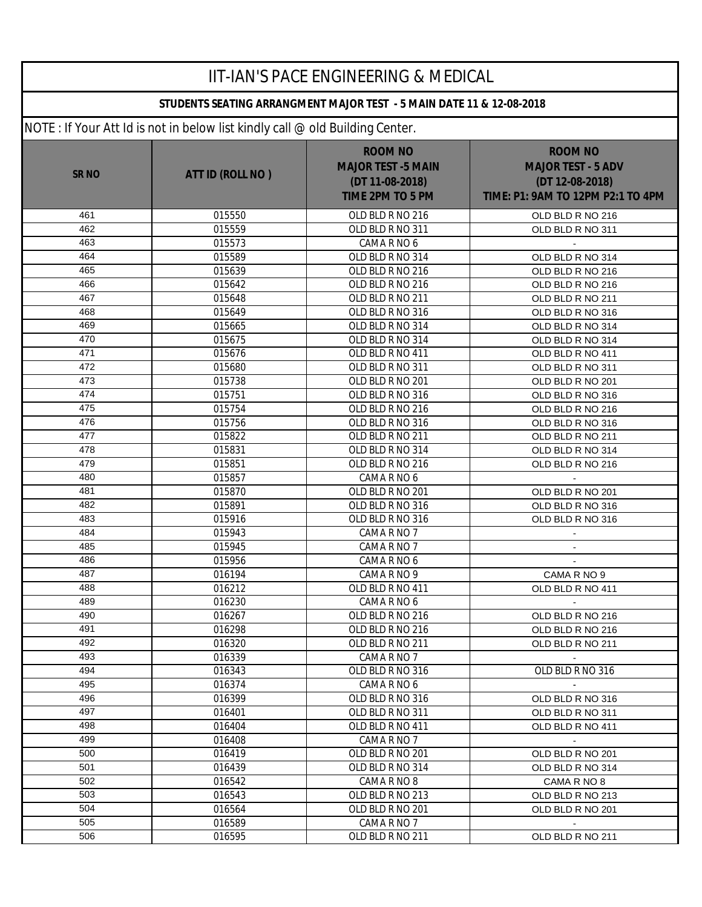| <b>IIT-IAN'S PACE ENGINEERING &amp; MEDICAL</b> |                                                                              |                                                                                           |                                                                                                     |  |
|-------------------------------------------------|------------------------------------------------------------------------------|-------------------------------------------------------------------------------------------|-----------------------------------------------------------------------------------------------------|--|
|                                                 | STUDENTS SEATING ARRANGMENT MAJOR TEST - 5 MAIN DATE 11 & 12-08-2018         |                                                                                           |                                                                                                     |  |
|                                                 | NOTE: If Your Att Id is not in below list kindly call @ old Building Center. |                                                                                           |                                                                                                     |  |
| <b>SR NO</b>                                    | ATT ID (ROLL NO)                                                             | <b>ROOM NO</b><br><b>MAJOR TEST -5 MAIN</b><br>(DT 11-08-2018)<br><b>TIME 2PM TO 5 PM</b> | <b>ROOM NO</b><br><b>MAJOR TEST - 5 ADV</b><br>(DT 12-08-2018)<br>TIME: P1: 9AM TO 12PM P2:1 TO 4PM |  |
| 461                                             | 015550                                                                       | OLD BLD R NO 216                                                                          | OLD BLD R NO 216                                                                                    |  |
| 462                                             | 015559                                                                       | OLD BLD R NO 311                                                                          | OLD BLD R NO 311                                                                                    |  |
| 463                                             | 015573                                                                       | CAMA R NO 6                                                                               |                                                                                                     |  |
| 464                                             | 015589                                                                       | OLD BLD R NO 314                                                                          | OLD BLD R NO 314                                                                                    |  |
| 465                                             | 015639                                                                       | OLD BLD R NO 216                                                                          | OLD BLD R NO 216                                                                                    |  |
| 466                                             | 015642                                                                       | OLD BLD R NO 216                                                                          | OLD BLD R NO 216                                                                                    |  |
| 467                                             | 015648                                                                       | OLD BLD R NO 211                                                                          | OLD BLD R NO 211                                                                                    |  |
| 468                                             | 015649                                                                       | OLD BLD R NO 316                                                                          | OLD BLD R NO 316                                                                                    |  |
| 469                                             | 015665                                                                       | OLD BLD R NO 314                                                                          | OLD BLD R NO 314                                                                                    |  |
| 470                                             | 015675                                                                       | OLD BLD R NO 314                                                                          | OLD BLD R NO 314                                                                                    |  |
| 471                                             | 015676                                                                       | OLD BLD R NO 411                                                                          | OLD BLD R NO 411                                                                                    |  |
| 472                                             | 015680                                                                       | OLD BLD R NO 311                                                                          | OLD BLD R NO 311                                                                                    |  |
| 473                                             | 015738                                                                       | OLD BLD R NO 201                                                                          | OLD BLD R NO 201                                                                                    |  |
| 474                                             | 015751                                                                       | OLD BLD R NO 316                                                                          | OLD BLD R NO 316                                                                                    |  |
| 475                                             | 015754                                                                       | OLD BLD R NO 216                                                                          | OLD BLD R NO 216                                                                                    |  |
| 476                                             | 015756                                                                       | OLD BLD R NO 316                                                                          | OLD BLD R NO 316                                                                                    |  |
| 477                                             | 015822                                                                       | OLD BLD R NO 211                                                                          | OLD BLD R NO 211                                                                                    |  |
| 478                                             | 015831                                                                       | OLD BLD R NO 314                                                                          | OLD BLD R NO 314                                                                                    |  |
| 479                                             | 015851                                                                       | OLD BLD R NO 216                                                                          | OLD BLD R NO 216                                                                                    |  |
| 480                                             | 015857                                                                       | CAMA R NO 6                                                                               |                                                                                                     |  |
| 481                                             | 015870                                                                       | OLD BLD R NO 201                                                                          | OLD BLD R NO 201                                                                                    |  |
| 482                                             | 015891                                                                       | OLD BLD R NO 316                                                                          | OLD BLD R NO 316                                                                                    |  |
| 483                                             | 015916                                                                       | OLD BLD R NO 316                                                                          | OLD BLD R NO 316                                                                                    |  |
| 484                                             | 015943                                                                       | CAMA R NO 7                                                                               | $\blacksquare$                                                                                      |  |
| 485                                             | 015945                                                                       | CAMA R NO 7                                                                               | $\blacksquare$                                                                                      |  |
| 486                                             | 015956                                                                       | CAMA R NO 6                                                                               | $\blacksquare$                                                                                      |  |
| 487                                             | 016194                                                                       | CAMA R NO 9                                                                               | CAMA R NO 9                                                                                         |  |
| 488                                             | 016212                                                                       | OLD BLD R NO 411                                                                          | OLD BLD R NO 411                                                                                    |  |
| 489                                             | 016230                                                                       | CAMA R NO 6                                                                               |                                                                                                     |  |
| 490                                             | 016267                                                                       | OLD BLD R NO 216                                                                          | OLD BLD R NO 216                                                                                    |  |
| 491                                             | 016298                                                                       | OLD BLD R NO 216                                                                          | OLD BLD R NO 216                                                                                    |  |
| 492                                             | 016320                                                                       | OLD BLD R NO 211                                                                          | OLD BLD R NO 211                                                                                    |  |
| 493                                             | 016339                                                                       | CAMA R NO 7                                                                               | $\sim$                                                                                              |  |
| 494                                             | 016343                                                                       | OLD BLD R NO 316                                                                          | OLD BLD R NO 316                                                                                    |  |
| 495                                             | 016374                                                                       | CAMA R NO 6                                                                               |                                                                                                     |  |
| 496                                             | 016399                                                                       | OLD BLD R NO 316                                                                          | OLD BLD R NO 316                                                                                    |  |
| 497                                             | 016401                                                                       | OLD BLD R NO 311                                                                          | OLD BLD R NO 311                                                                                    |  |
| 498                                             | 016404                                                                       | OLD BLD R NO 411                                                                          | OLD BLD R NO 411                                                                                    |  |
| 499                                             | 016408                                                                       | CAMA R NO 7                                                                               | $\sim$                                                                                              |  |
| 500                                             | 016419                                                                       | OLD BLD R NO 201                                                                          | OLD BLD R NO 201                                                                                    |  |
| 501                                             | 016439                                                                       | OLD BLD R NO 314                                                                          | OLD BLD R NO 314                                                                                    |  |
| 502                                             | 016542                                                                       | CAMA R NO 8                                                                               | CAMA R NO 8                                                                                         |  |
| 503                                             | 016543                                                                       | OLD BLD R NO 213                                                                          | OLD BLD R NO 213                                                                                    |  |
| 504                                             | 016564                                                                       | OLD BLD R NO 201                                                                          | OLD BLD R NO 201                                                                                    |  |
| 505                                             | 016589                                                                       | CAMA R NO 7                                                                               |                                                                                                     |  |
| 506                                             | 016595                                                                       | OLD BLD R NO 211                                                                          | OLD BLD R NO 211                                                                                    |  |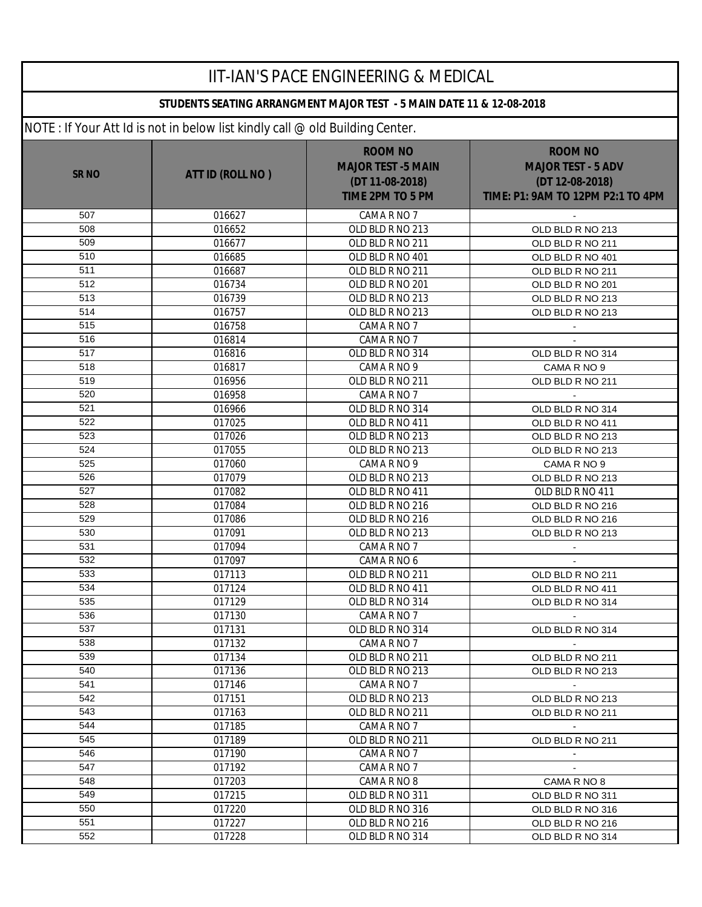| <b>IIT-IAN'S PACE ENGINEERING &amp; MEDICAL</b> |                                                                              |                                                                                    |                                                                                                     |  |  |
|-------------------------------------------------|------------------------------------------------------------------------------|------------------------------------------------------------------------------------|-----------------------------------------------------------------------------------------------------|--|--|
|                                                 | STUDENTS SEATING ARRANGMENT MAJOR TEST - 5 MAIN DATE 11 & 12-08-2018         |                                                                                    |                                                                                                     |  |  |
|                                                 | NOTE: If Your Att Id is not in below list kindly call @ old Building Center. |                                                                                    |                                                                                                     |  |  |
| <b>SR NO</b>                                    | ATT ID (ROLL NO)                                                             | <b>ROOM NO</b><br><b>MAJOR TEST -5 MAIN</b><br>(DT 11-08-2018)<br>TIME 2PM TO 5 PM | <b>ROOM NO</b><br><b>MAJOR TEST - 5 ADV</b><br>(DT 12-08-2018)<br>TIME: P1: 9AM TO 12PM P2:1 TO 4PM |  |  |
| 507                                             | 016627                                                                       | CAMA R NO 7                                                                        |                                                                                                     |  |  |
| 508                                             | 016652                                                                       | OLD BLD R NO 213                                                                   | OLD BLD R NO 213                                                                                    |  |  |
| 509                                             | 016677                                                                       | OLD BLD R NO 211                                                                   | OLD BLD R NO 211                                                                                    |  |  |
| 510                                             | 016685                                                                       | OLD BLD R NO 401                                                                   | OLD BLD R NO 401                                                                                    |  |  |
| 511                                             | 016687                                                                       | OLD BLD R NO 211                                                                   | OLD BLD R NO 211                                                                                    |  |  |
| 512                                             | 016734                                                                       | OLD BLD R NO 201                                                                   | OLD BLD R NO 201                                                                                    |  |  |
| 513                                             | 016739                                                                       | OLD BLD R NO 213                                                                   | OLD BLD R NO 213                                                                                    |  |  |
| 514                                             | 016757                                                                       | OLD BLD R NO 213                                                                   | OLD BLD R NO 213                                                                                    |  |  |
| 515                                             | 016758                                                                       | CAMA R NO 7                                                                        |                                                                                                     |  |  |
| 516                                             | 016814                                                                       | CAMA R NO 7                                                                        |                                                                                                     |  |  |
| 517                                             | 016816                                                                       | OLD BLD R NO 314                                                                   | OLD BLD R NO 314                                                                                    |  |  |
| 518                                             | 016817                                                                       | CAMA R NO 9                                                                        | CAMA R NO 9                                                                                         |  |  |
| 519                                             | 016956                                                                       | OLD BLD R NO 211                                                                   | OLD BLD R NO 211                                                                                    |  |  |
| 520                                             | 016958                                                                       | CAMA R NO 7                                                                        |                                                                                                     |  |  |
| 521                                             | 016966                                                                       | OLD BLD R NO 314                                                                   | OLD BLD R NO 314                                                                                    |  |  |
| 522                                             | 017025                                                                       | OLD BLD R NO 411                                                                   | OLD BLD R NO 411                                                                                    |  |  |
| 523                                             | 017026                                                                       | OLD BLD R NO 213                                                                   | OLD BLD R NO 213                                                                                    |  |  |
| 524                                             | 017055                                                                       | OLD BLD R NO 213                                                                   | OLD BLD R NO 213                                                                                    |  |  |
| 525                                             | 017060                                                                       | CAMA R NO 9                                                                        | CAMA R NO 9                                                                                         |  |  |
| 526                                             | 017079                                                                       | OLD BLD R NO 213                                                                   | OLD BLD R NO 213                                                                                    |  |  |
| 527                                             | 017082                                                                       | OLD BLD R NO 411                                                                   | OLD BLD R NO 411                                                                                    |  |  |
| 528                                             | 017084                                                                       | OLD BLD R NO 216                                                                   | OLD BLD R NO 216                                                                                    |  |  |
| 529                                             | 017086                                                                       | OLD BLD R NO 216                                                                   | OLD BLD R NO 216                                                                                    |  |  |
| 530                                             | 017091                                                                       | OLD BLD R NO 213                                                                   | OLD BLD R NO 213                                                                                    |  |  |
| 531                                             | 017094                                                                       | CAMA R NO 7                                                                        | $\blacksquare$                                                                                      |  |  |
| 532                                             | 017097                                                                       | CAMA R NO 6                                                                        | $\blacksquare$                                                                                      |  |  |
| 533                                             | 017113                                                                       | OLD BLD R NO 211                                                                   | OLD BLD R NO 211                                                                                    |  |  |
| 534                                             | 017124                                                                       | OLD BLD R NO 411                                                                   | OLD BLD R NO 411                                                                                    |  |  |
| 535                                             | 017129                                                                       | OLD BLD R NO 314                                                                   | OLD BLD R NO 314                                                                                    |  |  |
| 536                                             | 017130                                                                       | CAMA R NO 7                                                                        |                                                                                                     |  |  |
| 537                                             | 017131                                                                       | OLD BLD R NO 314                                                                   | OLD BLD R NO 314                                                                                    |  |  |
| 538                                             | 017132                                                                       | CAMA R NO 7                                                                        |                                                                                                     |  |  |
| 539                                             | 017134                                                                       | OLD BLD R NO 211                                                                   | OLD BLD R NO 211                                                                                    |  |  |
| 540                                             | 017136                                                                       | OLD BLD R NO 213                                                                   | OLD BLD R NO 213                                                                                    |  |  |
| 541                                             | 017146                                                                       | CAMA R NO 7                                                                        | $\sim$                                                                                              |  |  |
| 542                                             | 017151                                                                       | OLD BLD R NO 213                                                                   | OLD BLD R NO 213                                                                                    |  |  |
| 543                                             | 017163                                                                       | OLD BLD R NO 211                                                                   | OLD BLD R NO 211                                                                                    |  |  |
| 544                                             | 017185                                                                       | CAMA R NO 7                                                                        |                                                                                                     |  |  |
| 545                                             | 017189                                                                       | OLD BLD R NO 211                                                                   | OLD BLD R NO 211                                                                                    |  |  |
| 546                                             | 017190                                                                       | CAMA R NO 7                                                                        |                                                                                                     |  |  |
| 547                                             | 017192                                                                       | CAMA R NO 7                                                                        | $\mathbf{r}$                                                                                        |  |  |
| 548                                             | 017203                                                                       | CAMA R NO 8                                                                        | CAMA R NO 8                                                                                         |  |  |
| 549                                             | 017215                                                                       | OLD BLD R NO 311                                                                   | OLD BLD R NO 311                                                                                    |  |  |
| 550                                             | 017220                                                                       | OLD BLD R NO 316                                                                   | OLD BLD R NO 316                                                                                    |  |  |
| 551                                             | 017227                                                                       | OLD BLD R NO 216                                                                   | OLD BLD R NO 216                                                                                    |  |  |
| 552                                             | 017228                                                                       | OLD BLD R NO 314                                                                   | OLD BLD R NO 314                                                                                    |  |  |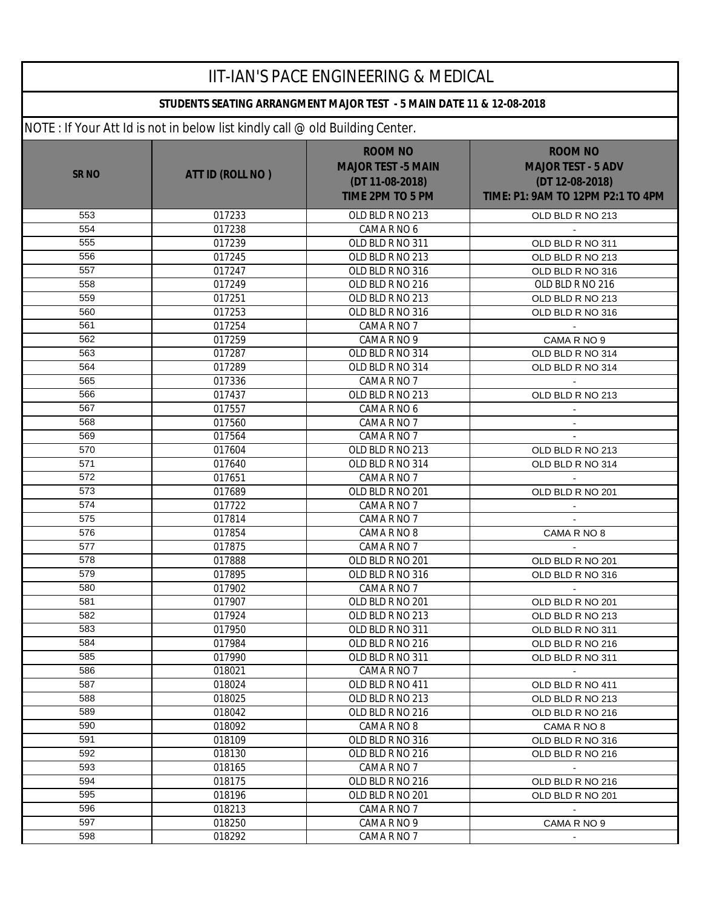| <b>IIT-IAN'S PACE ENGINEERING &amp; MEDICAL</b><br>STUDENTS SEATING ARRANGMENT MAJOR TEST - 5 MAIN DATE 11 & 12-08-2018 |                  |                                                                                           |                                                                                                     |  |  |
|-------------------------------------------------------------------------------------------------------------------------|------------------|-------------------------------------------------------------------------------------------|-----------------------------------------------------------------------------------------------------|--|--|
|                                                                                                                         |                  |                                                                                           |                                                                                                     |  |  |
| <b>SR NO</b>                                                                                                            | ATT ID (ROLL NO) | <b>ROOM NO</b><br><b>MAJOR TEST -5 MAIN</b><br>(DT 11-08-2018)<br><b>TIME 2PM TO 5 PM</b> | <b>ROOM NO</b><br><b>MAJOR TEST - 5 ADV</b><br>(DT 12-08-2018)<br>TIME: P1: 9AM TO 12PM P2:1 TO 4PM |  |  |
| 553                                                                                                                     | 017233           | OLD BLD R NO 213                                                                          | OLD BLD R NO 213                                                                                    |  |  |
| 554                                                                                                                     | 017238           | CAMA R NO 6                                                                               |                                                                                                     |  |  |
| 555                                                                                                                     | 017239           | OLD BLD R NO 311                                                                          | OLD BLD R NO 311                                                                                    |  |  |
| 556                                                                                                                     | 017245           | OLD BLD R NO 213                                                                          | OLD BLD R NO 213                                                                                    |  |  |
| 557                                                                                                                     | 017247           | OLD BLD R NO 316                                                                          | OLD BLD R NO 316                                                                                    |  |  |
| 558                                                                                                                     | 017249           | OLD BLD R NO 216                                                                          | OLD BLD R NO 216                                                                                    |  |  |
| 559                                                                                                                     | 017251           | OLD BLD R NO 213                                                                          | OLD BLD R NO 213                                                                                    |  |  |
| 560                                                                                                                     | 017253           | OLD BLD R NO 316                                                                          | OLD BLD R NO 316                                                                                    |  |  |
| 561                                                                                                                     | 017254           | CAMA R NO 7                                                                               |                                                                                                     |  |  |
| 562                                                                                                                     | 017259           | CAMA R NO 9                                                                               | CAMA R NO 9                                                                                         |  |  |
| 563                                                                                                                     | 017287           | OLD BLD R NO 314                                                                          | OLD BLD R NO 314                                                                                    |  |  |
| 564                                                                                                                     | 017289           | OLD BLD R NO 314                                                                          | OLD BLD R NO 314                                                                                    |  |  |
| 565                                                                                                                     | 017336           | CAMA R NO 7                                                                               |                                                                                                     |  |  |
| 566                                                                                                                     | 017437           | OLD BLD R NO 213                                                                          | OLD BLD R NO 213                                                                                    |  |  |
| 567                                                                                                                     | 017557           | CAMA R NO 6                                                                               |                                                                                                     |  |  |
| 568                                                                                                                     | 017560           | CAMA R NO 7                                                                               | $\blacksquare$                                                                                      |  |  |
| 569                                                                                                                     | 017564           | CAMA R NO 7                                                                               |                                                                                                     |  |  |
| 570<br>571                                                                                                              | 017604           | OLD BLD R NO 213                                                                          | OLD BLD R NO 213                                                                                    |  |  |
| 572                                                                                                                     | 017640           | OLD BLD R NO 314                                                                          | OLD BLD R NO 314                                                                                    |  |  |
| 573                                                                                                                     | 017651           | CAMA R NO 7                                                                               |                                                                                                     |  |  |
| 574                                                                                                                     | 017689           | OLD BLD R NO 201                                                                          | OLD BLD R NO 201                                                                                    |  |  |
| 575                                                                                                                     | 017722<br>017814 | CAMA R NO 7<br>CAMA R NO 7                                                                | $\blacksquare$<br>$\mathbf{r}$                                                                      |  |  |
| 576                                                                                                                     | 017854           | CAMA R NO 8                                                                               | CAMA R NO 8                                                                                         |  |  |
| 577                                                                                                                     | 017875           | CAMA R NO 7                                                                               |                                                                                                     |  |  |
| 578                                                                                                                     | 017888           | OLD BLD R NO 201                                                                          | OLD BLD R NO 201                                                                                    |  |  |
| 579                                                                                                                     | 017895           | OLD BLD R NO 316                                                                          | OLD BLD R NO 316                                                                                    |  |  |
| 580                                                                                                                     | 017902           | CAMA R NO 7                                                                               |                                                                                                     |  |  |
| 581                                                                                                                     | 017907           | OLD BLD R NO 201                                                                          | OLD BLD R NO 201                                                                                    |  |  |
| 582                                                                                                                     | 017924           | OLD BLD R NO 213                                                                          | OLD BLD R NO 213                                                                                    |  |  |
| 583                                                                                                                     | 017950           | OLD BLD R NO 311                                                                          | OLD BLD R NO 311                                                                                    |  |  |
| 584                                                                                                                     | 017984           | OLD BLD R NO 216                                                                          | OLD BLD R NO 216                                                                                    |  |  |
| 585                                                                                                                     | 017990           | OLD BLD R NO 311                                                                          | OLD BLD R NO 311                                                                                    |  |  |
| 586                                                                                                                     | 018021           | CAMA R NO 7                                                                               | $\sim$                                                                                              |  |  |
| 587                                                                                                                     | 018024           | OLD BLD R NO 411                                                                          | OLD BLD R NO 411                                                                                    |  |  |
| 588                                                                                                                     | 018025           | OLD BLD R NO 213                                                                          | OLD BLD R NO 213                                                                                    |  |  |
| 589                                                                                                                     | 018042           | OLD BLD R NO 216                                                                          | OLD BLD R NO 216                                                                                    |  |  |
| 590                                                                                                                     | 018092           | CAMA R NO 8                                                                               | CAMA R NO 8                                                                                         |  |  |
| 591                                                                                                                     | 018109           | OLD BLD R NO 316                                                                          | OLD BLD R NO 316                                                                                    |  |  |
| 592                                                                                                                     | 018130           | OLD BLD R NO 216                                                                          | OLD BLD R NO 216                                                                                    |  |  |
| 593                                                                                                                     | 018165           | CAMA R NO 7                                                                               | $\sim$                                                                                              |  |  |
| 594                                                                                                                     | 018175           | OLD BLD R NO 216                                                                          | OLD BLD R NO 216                                                                                    |  |  |
| 595                                                                                                                     | 018196           | OLD BLD R NO 201                                                                          | OLD BLD R NO 201                                                                                    |  |  |
| 596                                                                                                                     | 018213           | CAMA R NO 7                                                                               |                                                                                                     |  |  |
| 597                                                                                                                     | 018250           | CAMA R NO 9                                                                               | CAMA R NO 9                                                                                         |  |  |
| 598                                                                                                                     | 018292           | CAMA R NO 7                                                                               |                                                                                                     |  |  |